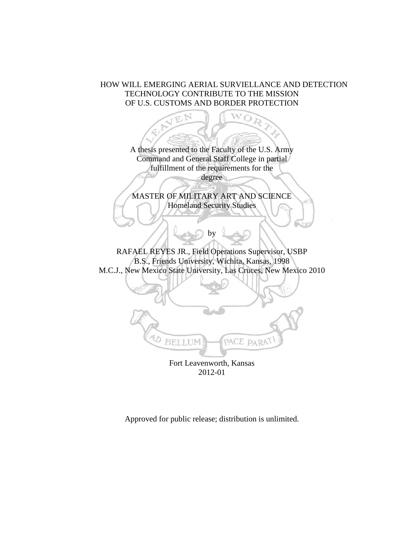## HOW WILL EMERGING AERIAL SURVIELLANCE AND DETECTION TECHNOLOGY CONTRIBUTE TO THE MISSION OF U.S. CUSTOMS AND BORDER PROTECTION

W  $\bigcap$ 

A thesis presented to the Faculty of the U.S. Army Command and General Staff College in partial fulfillment of the requirements for the degree

MASTER OF MILITARY ART AND SCIENCE Homeland Security Studies

RAFAEL REYES JR., Field Operations Supervisor, USBP B.S., Friends University, Wichita, Kansas, 1998 M.C.J., New Mexico State University, Las Cruces, New Mexico 2010

by



Fort Leavenworth, Kansas 2012-01

Approved for public release; distribution is unlimited.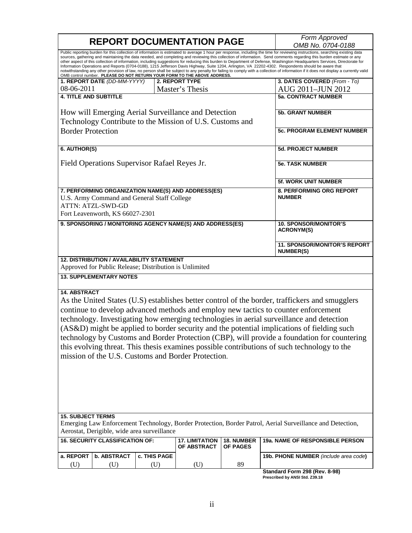| <b>REPORT DOCUMENTATION PAGE</b>                                                                                                                                                                                                                                                                                                                                                                                                                                                                                                                                                                                                                          |                                                                                                            |              |                                                                          |                                                  | Form Approved                                                                                                                                                                                                                                                                                                                                                                                                                                                                                                                                                                                                                                                                                       |  |
|-----------------------------------------------------------------------------------------------------------------------------------------------------------------------------------------------------------------------------------------------------------------------------------------------------------------------------------------------------------------------------------------------------------------------------------------------------------------------------------------------------------------------------------------------------------------------------------------------------------------------------------------------------------|------------------------------------------------------------------------------------------------------------|--------------|--------------------------------------------------------------------------|--------------------------------------------------|-----------------------------------------------------------------------------------------------------------------------------------------------------------------------------------------------------------------------------------------------------------------------------------------------------------------------------------------------------------------------------------------------------------------------------------------------------------------------------------------------------------------------------------------------------------------------------------------------------------------------------------------------------------------------------------------------------|--|
| Public reporting burden for this collection of information is estimated to average 1 hour per response, including the time for reviewing instructions, searching existing data                                                                                                                                                                                                                                                                                                                                                                                                                                                                            |                                                                                                            |              |                                                                          |                                                  | OMB No. 0704-0188                                                                                                                                                                                                                                                                                                                                                                                                                                                                                                                                                                                                                                                                                   |  |
|                                                                                                                                                                                                                                                                                                                                                                                                                                                                                                                                                                                                                                                           |                                                                                                            |              | OMB control number. PLEASE DO NOT RETURN YOUR FORM TO THE ABOVE ADDRESS. |                                                  | sources, gathering and maintaining the data needed, and completing and reviewing this collection of information. Send comments regarding this burden estimate or any<br>other aspect of this collection of information, including suggestions for reducing this burden to Department of Defense, Washington Headquarters Services, Directorate for<br>Information Operations and Reports (0704-0188), 1215 Jefferson Davis Highway, Suite 1204, Arlington, VA 22202-4302. Respondents should be aware that<br>notwithstanding any other provision of law, no person shall be subject to any penalty for failing to comply with a collection of information if it does not display a currently valid |  |
|                                                                                                                                                                                                                                                                                                                                                                                                                                                                                                                                                                                                                                                           | 1. REPORT DATE (DD-MM-YYYY)                                                                                |              | 2. REPORT TYPE                                                           |                                                  | 3. DATES COVERED (From - To)                                                                                                                                                                                                                                                                                                                                                                                                                                                                                                                                                                                                                                                                        |  |
| 08-06-2011                                                                                                                                                                                                                                                                                                                                                                                                                                                                                                                                                                                                                                                |                                                                                                            |              | Master's Thesis                                                          |                                                  | AUG 2011-JUN 2012                                                                                                                                                                                                                                                                                                                                                                                                                                                                                                                                                                                                                                                                                   |  |
| <b>4. TITLE AND SUBTITLE</b>                                                                                                                                                                                                                                                                                                                                                                                                                                                                                                                                                                                                                              |                                                                                                            |              |                                                                          |                                                  | <b>5a. CONTRACT NUMBER</b>                                                                                                                                                                                                                                                                                                                                                                                                                                                                                                                                                                                                                                                                          |  |
| How will Emerging Aerial Surveillance and Detection<br>Technology Contribute to the Mission of U.S. Customs and                                                                                                                                                                                                                                                                                                                                                                                                                                                                                                                                           |                                                                                                            |              |                                                                          |                                                  | <b>5b. GRANT NUMBER</b>                                                                                                                                                                                                                                                                                                                                                                                                                                                                                                                                                                                                                                                                             |  |
|                                                                                                                                                                                                                                                                                                                                                                                                                                                                                                                                                                                                                                                           |                                                                                                            |              |                                                                          |                                                  |                                                                                                                                                                                                                                                                                                                                                                                                                                                                                                                                                                                                                                                                                                     |  |
| <b>Border Protection</b>                                                                                                                                                                                                                                                                                                                                                                                                                                                                                                                                                                                                                                  |                                                                                                            |              |                                                                          | <b>5c. PROGRAM ELEMENT NUMBER</b>                |                                                                                                                                                                                                                                                                                                                                                                                                                                                                                                                                                                                                                                                                                                     |  |
| 6. AUTHOR(S)                                                                                                                                                                                                                                                                                                                                                                                                                                                                                                                                                                                                                                              |                                                                                                            |              |                                                                          |                                                  | <b>5d. PROJECT NUMBER</b>                                                                                                                                                                                                                                                                                                                                                                                                                                                                                                                                                                                                                                                                           |  |
| Field Operations Supervisor Rafael Reyes Jr.                                                                                                                                                                                                                                                                                                                                                                                                                                                                                                                                                                                                              |                                                                                                            |              |                                                                          | <b>5e. TASK NUMBER</b>                           |                                                                                                                                                                                                                                                                                                                                                                                                                                                                                                                                                                                                                                                                                                     |  |
|                                                                                                                                                                                                                                                                                                                                                                                                                                                                                                                                                                                                                                                           |                                                                                                            |              |                                                                          |                                                  | <b>5f. WORK UNIT NUMBER</b>                                                                                                                                                                                                                                                                                                                                                                                                                                                                                                                                                                                                                                                                         |  |
| 7. PERFORMING ORGANIZATION NAME(S) AND ADDRESS(ES)<br>U.S. Army Command and General Staff College<br><b>ATTN: ATZL-SWD-GD</b><br>Fort Leavenworth, KS 66027-2301                                                                                                                                                                                                                                                                                                                                                                                                                                                                                          |                                                                                                            |              |                                                                          | <b>8. PERFORMING ORG REPORT</b><br><b>NUMBER</b> |                                                                                                                                                                                                                                                                                                                                                                                                                                                                                                                                                                                                                                                                                                     |  |
|                                                                                                                                                                                                                                                                                                                                                                                                                                                                                                                                                                                                                                                           |                                                                                                            |              | 9. SPONSORING / MONITORING AGENCY NAME(S) AND ADDRESS(ES)                |                                                  | <b>10. SPONSOR/MONITOR'S</b><br><b>ACRONYM(S)</b>                                                                                                                                                                                                                                                                                                                                                                                                                                                                                                                                                                                                                                                   |  |
|                                                                                                                                                                                                                                                                                                                                                                                                                                                                                                                                                                                                                                                           |                                                                                                            |              |                                                                          |                                                  | <b>11. SPONSOR/MONITOR'S REPORT</b><br><b>NUMBER(S)</b>                                                                                                                                                                                                                                                                                                                                                                                                                                                                                                                                                                                                                                             |  |
|                                                                                                                                                                                                                                                                                                                                                                                                                                                                                                                                                                                                                                                           | <b>12. DISTRIBUTION / AVAILABILITY STATEMENT</b><br>Approved for Public Release; Distribution is Unlimited |              |                                                                          |                                                  |                                                                                                                                                                                                                                                                                                                                                                                                                                                                                                                                                                                                                                                                                                     |  |
|                                                                                                                                                                                                                                                                                                                                                                                                                                                                                                                                                                                                                                                           | <b>13. SUPPLEMENTARY NOTES</b>                                                                             |              |                                                                          |                                                  |                                                                                                                                                                                                                                                                                                                                                                                                                                                                                                                                                                                                                                                                                                     |  |
| <b>14. ABSTRACT</b><br>As the United States (U.S) establishes better control of the border, traffickers and smugglers<br>continue to develop advanced methods and employ new tactics to counter enforcement<br>technology. Investigating how emerging technologies in aerial surveillance and detection<br>(AS&D) might be applied to border security and the potential implications of fielding such<br>technology by Customs and Border Protection (CBP), will provide a foundation for countering<br>this evolving threat. This thesis examines possible contributions of such technology to the<br>mission of the U.S. Customs and Border Protection. |                                                                                                            |              |                                                                          |                                                  |                                                                                                                                                                                                                                                                                                                                                                                                                                                                                                                                                                                                                                                                                                     |  |
| <b>15. SUBJECT TERMS</b>                                                                                                                                                                                                                                                                                                                                                                                                                                                                                                                                                                                                                                  |                                                                                                            |              |                                                                          |                                                  |                                                                                                                                                                                                                                                                                                                                                                                                                                                                                                                                                                                                                                                                                                     |  |
| Emerging Law Enforcement Technology, Border Protection, Border Patrol, Aerial Surveillance and Detection,<br>Aerostat, Derigible, wide area surveillance                                                                                                                                                                                                                                                                                                                                                                                                                                                                                                  |                                                                                                            |              |                                                                          |                                                  |                                                                                                                                                                                                                                                                                                                                                                                                                                                                                                                                                                                                                                                                                                     |  |
|                                                                                                                                                                                                                                                                                                                                                                                                                                                                                                                                                                                                                                                           | <b>16. SECURITY CLASSIFICATION OF:</b>                                                                     |              | <b>17. LIMITATION</b><br>OF ABSTRACT                                     | <b>18. NUMBER</b><br><b>OF PAGES</b>             | 19a. NAME OF RESPONSIBLE PERSON                                                                                                                                                                                                                                                                                                                                                                                                                                                                                                                                                                                                                                                                     |  |
| a. REPORT                                                                                                                                                                                                                                                                                                                                                                                                                                                                                                                                                                                                                                                 | <b>b. ABSTRACT</b>                                                                                         | c. THIS PAGE |                                                                          |                                                  | 19b. PHONE NUMBER (include area code)                                                                                                                                                                                                                                                                                                                                                                                                                                                                                                                                                                                                                                                               |  |
| (U)                                                                                                                                                                                                                                                                                                                                                                                                                                                                                                                                                                                                                                                       | (U)                                                                                                        | (U)          | (U)                                                                      | 89                                               |                                                                                                                                                                                                                                                                                                                                                                                                                                                                                                                                                                                                                                                                                                     |  |
|                                                                                                                                                                                                                                                                                                                                                                                                                                                                                                                                                                                                                                                           |                                                                                                            |              |                                                                          |                                                  | Standard Form 298 (Rev. 8-98)                                                                                                                                                                                                                                                                                                                                                                                                                                                                                                                                                                                                                                                                       |  |

**Standard Form 298 (Rev. 8-98) Prescribed by ANSI Std. Z39.18**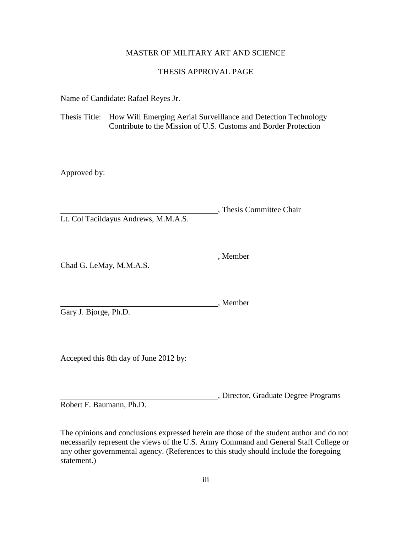## MASTER OF MILITARY ART AND SCIENCE

## THESIS APPROVAL PAGE

Name of Candidate: Rafael Reyes Jr.

Thesis Title: How Will Emerging Aerial Surveillance and Detection Technology Contribute to the Mission of U.S. Customs and Border Protection

Approved by:

, Thesis Committee Chair Lt. Col Tacildayus Andrews, M.M.A.S.

, Member Chad G. LeMay, M.M.A.S.

Gary J. Bjorge, Ph.D.

Accepted this 8th day of June 2012 by:

, Director, Graduate Degree Programs

, Member

Robert F. Baumann, Ph.D.

The opinions and conclusions expressed herein are those of the student author and do not necessarily represent the views of the U.S. Army Command and General Staff College or any other governmental agency. (References to this study should include the foregoing statement.)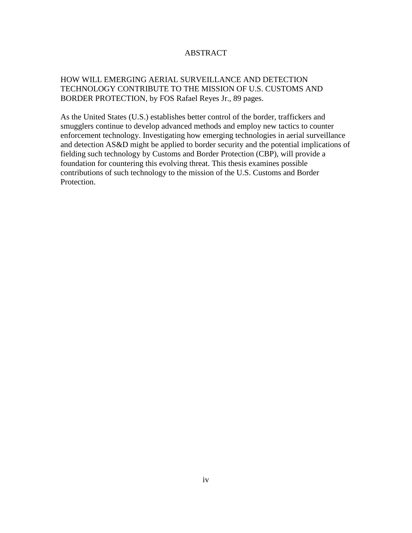## ABSTRACT

## HOW WILL EMERGING AERIAL SURVEILLANCE AND DETECTION TECHNOLOGY CONTRIBUTE TO THE MISSION OF U.S. CUSTOMS AND BORDER PROTECTION, by FOS Rafael Reyes Jr., 89 pages.

As the United States (U.S.) establishes better control of the border, traffickers and smugglers continue to develop advanced methods and employ new tactics to counter enforcement technology. Investigating how emerging technologies in aerial surveillance and detection AS&D might be applied to border security and the potential implications of fielding such technology by Customs and Border Protection (CBP), will provide a foundation for countering this evolving threat. This thesis examines possible contributions of such technology to the mission of the U.S. Customs and Border Protection.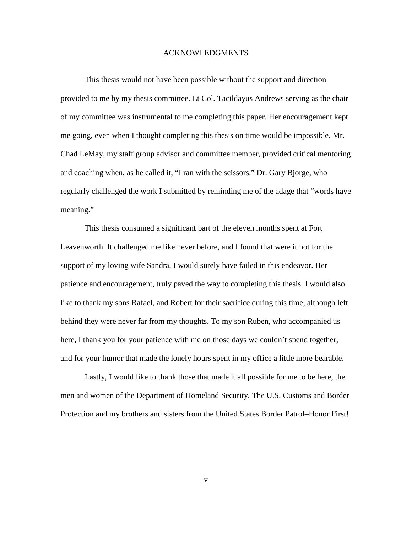#### ACKNOWLEDGMENTS

This thesis would not have been possible without the support and direction provided to me by my thesis committee. Lt Col. Tacildayus Andrews serving as the chair of my committee was instrumental to me completing this paper. Her encouragement kept me going, even when I thought completing this thesis on time would be impossible. Mr. Chad LeMay, my staff group advisor and committee member, provided critical mentoring and coaching when, as he called it, "I ran with the scissors." Dr. Gary Bjorge, who regularly challenged the work I submitted by reminding me of the adage that "words have meaning."

This thesis consumed a significant part of the eleven months spent at Fort Leavenworth. It challenged me like never before, and I found that were it not for the support of my loving wife Sandra, I would surely have failed in this endeavor. Her patience and encouragement, truly paved the way to completing this thesis. I would also like to thank my sons Rafael, and Robert for their sacrifice during this time, although left behind they were never far from my thoughts. To my son Ruben, who accompanied us here, I thank you for your patience with me on those days we couldn't spend together, and for your humor that made the lonely hours spent in my office a little more bearable.

Lastly, I would like to thank those that made it all possible for me to be here, the men and women of the Department of Homeland Security, The U.S. Customs and Border Protection and my brothers and sisters from the United States Border Patrol–Honor First!

v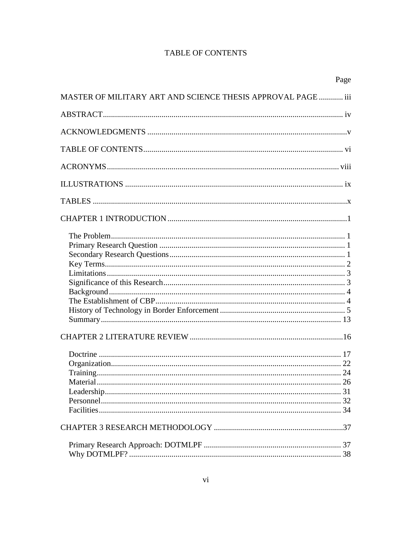# **TABLE OF CONTENTS**

|                                                              | Page |
|--------------------------------------------------------------|------|
| MASTER OF MILITARY ART AND SCIENCE THESIS APPROVAL PAGE  iii |      |
|                                                              |      |
|                                                              |      |
|                                                              |      |
|                                                              |      |
|                                                              |      |
|                                                              |      |
|                                                              |      |
|                                                              |      |
|                                                              |      |
|                                                              |      |
|                                                              |      |
|                                                              |      |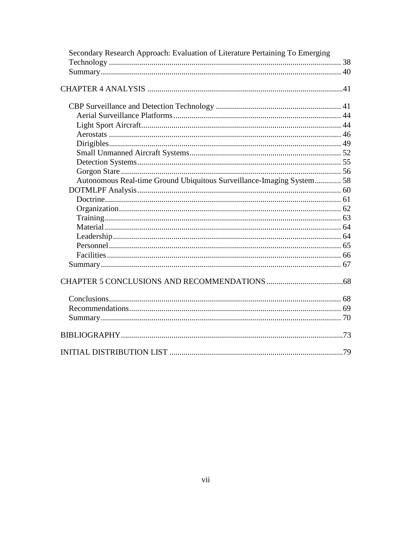| Secondary Research Approach: Evaluation of Literature Pertaining To Emerging |  |
|------------------------------------------------------------------------------|--|
|                                                                              |  |
|                                                                              |  |
|                                                                              |  |
|                                                                              |  |
|                                                                              |  |
|                                                                              |  |
|                                                                              |  |
|                                                                              |  |
|                                                                              |  |
|                                                                              |  |
|                                                                              |  |
| Autonomous Real-time Ground Ubiquitous Surveillance-Imaging System 58        |  |
|                                                                              |  |
|                                                                              |  |
|                                                                              |  |
|                                                                              |  |
|                                                                              |  |
|                                                                              |  |
|                                                                              |  |
|                                                                              |  |
|                                                                              |  |
|                                                                              |  |
|                                                                              |  |
|                                                                              |  |
|                                                                              |  |
|                                                                              |  |
|                                                                              |  |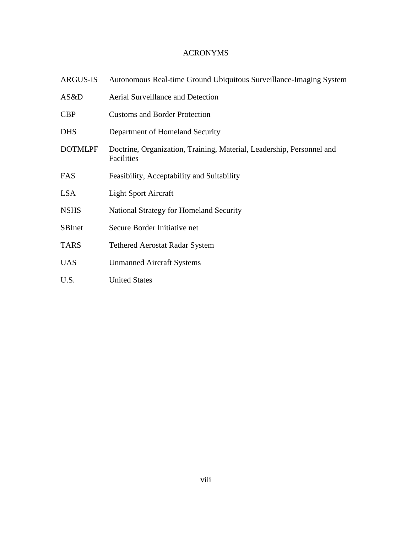# ACRONYMS

| <b>ARGUS-IS</b> | Autonomous Real-time Ground Ubiquitous Surveillance-Imaging System                  |
|-----------------|-------------------------------------------------------------------------------------|
| AS&D            | Aerial Surveillance and Detection                                                   |
| <b>CBP</b>      | <b>Customs and Border Protection</b>                                                |
| <b>DHS</b>      | Department of Homeland Security                                                     |
| <b>DOTMLPF</b>  | Doctrine, Organization, Training, Material, Leadership, Personnel and<br>Facilities |
| FAS             | Feasibility, Acceptability and Suitability                                          |
| <b>LSA</b>      | <b>Light Sport Aircraft</b>                                                         |
| <b>NSHS</b>     | National Strategy for Homeland Security                                             |
| <b>SBInet</b>   | Secure Border Initiative net                                                        |
| <b>TARS</b>     | <b>Tethered Aerostat Radar System</b>                                               |
| <b>UAS</b>      | <b>Unmanned Aircraft Systems</b>                                                    |
| U.S.            | <b>United States</b>                                                                |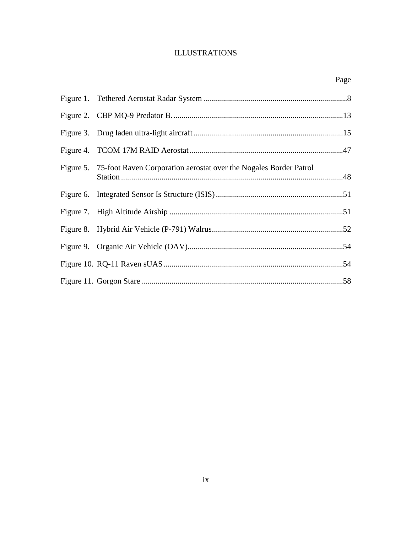# **ILLUSTRATIONS**

|                                                                             | Page |
|-----------------------------------------------------------------------------|------|
|                                                                             |      |
|                                                                             |      |
|                                                                             |      |
|                                                                             |      |
| Figure 5. 75-foot Raven Corporation aerostat over the Nogales Border Patrol |      |
|                                                                             |      |
|                                                                             |      |
|                                                                             |      |
|                                                                             |      |
|                                                                             |      |
|                                                                             |      |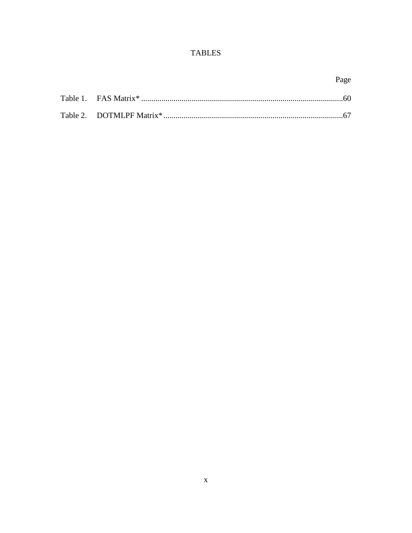# **TABLES**

|  | Page |
|--|------|
|  |      |
|  |      |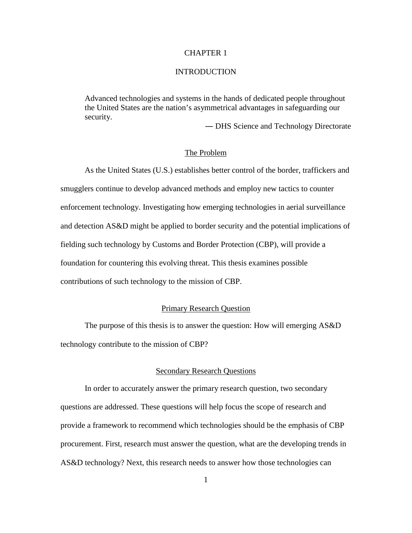## CHAPTER 1

## **INTRODUCTION**

Advanced technologies and systems in the hands of dedicated people throughout the United States are the nation's asymmetrical advantages in safeguarding our security.

― DHS Science and Technology Directorate

## The Problem

As the United States (U.S.) establishes better control of the border, traffickers and smugglers continue to develop advanced methods and employ new tactics to counter enforcement technology. Investigating how emerging technologies in aerial surveillance and detection AS&D might be applied to border security and the potential implications of fielding such technology by Customs and Border Protection (CBP), will provide a foundation for countering this evolving threat. This thesis examines possible contributions of such technology to the mission of CBP.

#### Primary Research Question

The purpose of this thesis is to answer the question: How will emerging AS&D technology contribute to the mission of CBP?

### Secondary Research Questions

In order to accurately answer the primary research question, two secondary questions are addressed. These questions will help focus the scope of research and provide a framework to recommend which technologies should be the emphasis of CBP procurement. First, research must answer the question, what are the developing trends in AS&D technology? Next, this research needs to answer how those technologies can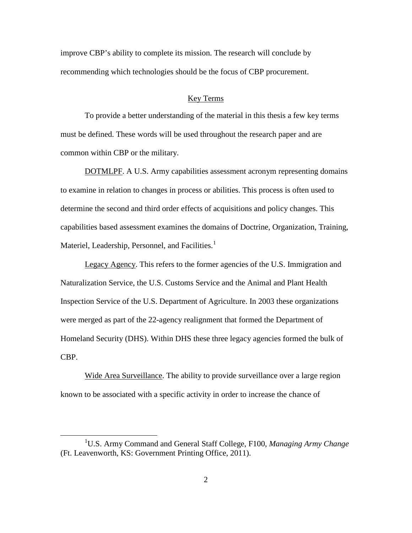improve CBP's ability to complete its mission. The research will conclude by recommending which technologies should be the focus of CBP procurement.

## Key Terms

To provide a better understanding of the material in this thesis a few key terms must be defined. These words will be used throughout the research paper and are common within CBP or the military.

DOTMLPF. A U.S. Army capabilities assessment acronym representing domains to examine in relation to changes in process or abilities. This process is often used to determine the second and third order effects of acquisitions and policy changes. This capabilities based assessment examines the domains of Doctrine, Organization, Training, Materiel, Leadership, Personnel, and Facilities.<sup>[1](#page-11-0)</sup>

Legacy Agency. This refers to the former agencies of the U.S. Immigration and Naturalization Service, the U.S. Customs Service and the Animal and Plant Health Inspection Service of the U.S. Department of Agriculture. In 2003 these organizations were merged as part of the 22-agency realignment that formed the Department of Homeland Security (DHS). Within DHS these three legacy agencies formed the bulk of CBP.

Wide Area Surveillance. The ability to provide surveillance over a large region known to be associated with a specific activity in order to increase the chance of

<span id="page-11-0"></span><sup>&</sup>lt;u>1</u> U.S. Army Command and General Staff College, F100, *Managing Army Change* (Ft. Leavenworth, KS: Government Printing Office, 2011).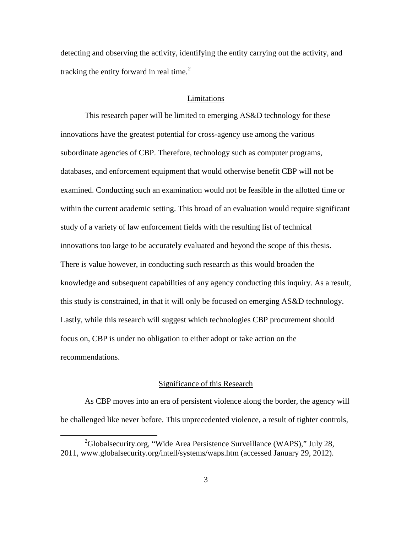detecting and observing the activity, identifying the entity carrying out the activity, and tracking the entity forward in real time.<sup>[2](#page-12-0)</sup>

### Limitations

This research paper will be limited to emerging AS&D technology for these innovations have the greatest potential for cross-agency use among the various subordinate agencies of CBP. Therefore, technology such as computer programs, databases, and enforcement equipment that would otherwise benefit CBP will not be examined. Conducting such an examination would not be feasible in the allotted time or within the current academic setting. This broad of an evaluation would require significant study of a variety of law enforcement fields with the resulting list of technical innovations too large to be accurately evaluated and beyond the scope of this thesis. There is value however, in conducting such research as this would broaden the knowledge and subsequent capabilities of any agency conducting this inquiry. As a result, this study is constrained, in that it will only be focused on emerging AS&D technology. Lastly, while this research will suggest which technologies CBP procurement should focus on, CBP is under no obligation to either adopt or take action on the recommendations.

#### Significance of this Research

As CBP moves into an era of persistent violence along the border, the agency will be challenged like never before. This unprecedented violence, a result of tighter controls,

<span id="page-12-0"></span> $\overline{\phantom{a}2}$  $^{2}$ Globalsecurity.org, "Wide Area Persistence Surveillance (WAPS)," July 28, 2011, www.globalsecurity.org/intell/systems/waps.htm (accessed January 29, 2012).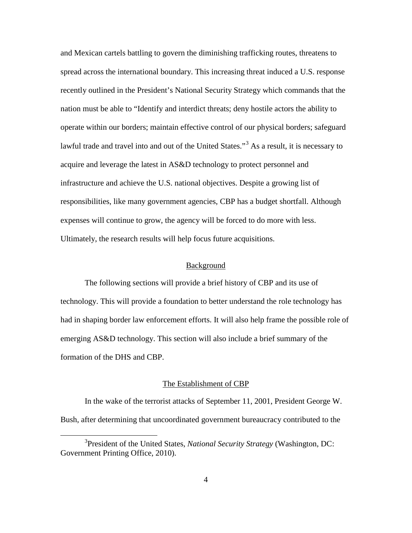and Mexican cartels battling to govern the diminishing trafficking routes, threatens to spread across the international boundary. This increasing threat induced a U.S. response recently outlined in the President's National Security Strategy which commands that the nation must be able to "Identify and interdict threats; deny hostile actors the ability to operate within our borders; maintain effective control of our physical borders; safeguard lawful trade and travel into and out of the United States."<sup>[3](#page-13-0)</sup> As a result, it is necessary to acquire and leverage the latest in AS&D technology to protect personnel and infrastructure and achieve the U.S. national objectives. Despite a growing list of responsibilities, like many government agencies, CBP has a budget shortfall. Although expenses will continue to grow, the agency will be forced to do more with less. Ultimately, the research results will help focus future acquisitions.

### Background

The following sections will provide a brief history of CBP and its use of technology. This will provide a foundation to better understand the role technology has had in shaping border law enforcement efforts. It will also help frame the possible role of emerging AS&D technology. This section will also include a brief summary of the formation of the DHS and CBP.

#### The Establishment of CBP

In the wake of the terrorist attacks of September 11, 2001, President George W. Bush, after determining that uncoordinated government bureaucracy contributed to the

<span id="page-13-0"></span> $\frac{1}{3}$ <sup>3</sup> President of the United States, *National Security Strategy* (Washington, DC: Government Printing Office, 2010).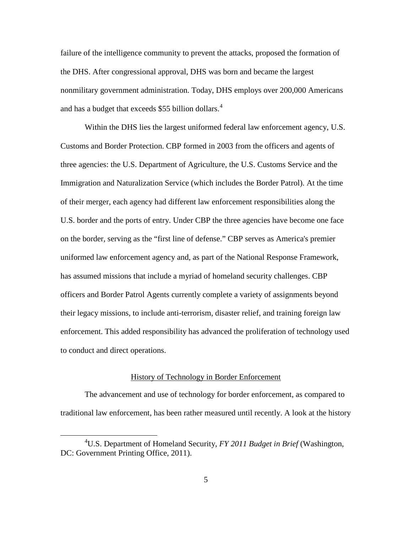failure of the intelligence community to prevent the attacks, proposed the formation of the DHS. After congressional approval, DHS was born and became the largest nonmilitary government administration. Today, DHS employs over 200,000 Americans and has a budget that exceeds \$55 billion dollars. [4](#page-14-0)

Within the DHS lies the largest uniformed federal law enforcement agency, U.S. Customs and Border Protection. CBP formed in 2003 from the officers and agents of three agencies: the U.S. Department of Agriculture, the U.S. Customs Service and the Immigration and Naturalization Service (which includes the Border Patrol). At the time of their merger, each agency had different law enforcement responsibilities along the U.S. border and the ports of entry. Under CBP the three agencies have become one face on the border, serving as the "first line of defense." CBP serves as America's premier uniformed law enforcement agency and, as part of the National Response Framework, has assumed missions that include a myriad of homeland security challenges. CBP officers and Border Patrol Agents currently complete a variety of assignments beyond their legacy missions, to include anti-terrorism, disaster relief, and training foreign law enforcement. This added responsibility has advanced the proliferation of technology used to conduct and direct operations.

#### History of Technology in Border Enforcement

The advancement and use of technology for border enforcement, as compared to traditional law enforcement, has been rather measured until recently. A look at the history

<span id="page-14-0"></span> $\overline{4}$ U.S. Department of Homeland Security, *FY 2011 Budget in Brief* (Washington, DC: Government Printing Office, 2011).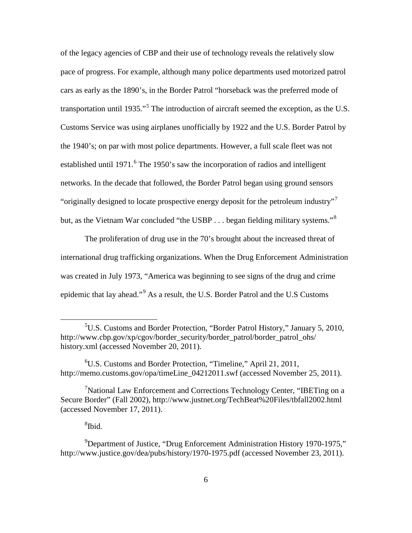of the legacy agencies of CBP and their use of technology reveals the relatively slow pace of progress. For example, although many police departments used motorized patrol cars as early as the 1890's, in the Border Patrol "horseback was the preferred mode of transportation until 193[5](#page-15-0)."<sup>5</sup> The introduction of aircraft seemed the exception, as the U.S. Customs Service was using airplanes unofficially by 1922 and the U.S. Border Patrol by the 1940's; on par with most police departments. However, a full scale fleet was not established until 1971.<sup>[6](#page-15-1)</sup> The 1950's saw the incorporation of radios and intelligent networks. In the decade that followed, the Border Patrol began using ground sensors "originally designed to locate prospective energy deposit for the petroleum industry"<sup>[7](#page-15-2)</sup> but, as the Vietnam War concluded "the USBP . . . began fielding military systems."<sup>[8](#page-15-3)</sup>

The proliferation of drug use in the 70's brought about the increased threat of international drug trafficking organizations. When the Drug Enforcement Administration was created in July 1973, "America was beginning to see signs of the drug and crime epidemic that lay ahead."[9](#page-15-4) As a result, the U.S. Border Patrol and the U.S Customs

8 Ibid.

<span id="page-15-0"></span> $rac{1}{5}$  $5$ U.S. Customs and Border Protection, "Border Patrol History," January 5, 2010, http://www.cbp.gov/xp/cgov/border\_security/border\_patrol/border\_patrol\_ohs/ history.xml (accessed November 20, 2011).

<span id="page-15-1"></span><sup>6</sup> U.S. Customs and Border Protection, "Timeline," April 21, 2011, http://memo.customs.gov/opa/timeLine\_04212011.swf (accessed November 25, 2011).

<span id="page-15-2"></span><sup>&</sup>lt;sup>7</sup>National Law Enforcement and Corrections Technology Center, "IBETing on a Secure Border" (Fall 2002), http://www.justnet.org/TechBeat%20Files/tbfall2002.html (accessed November 17, 2011).

<span id="page-15-4"></span><span id="page-15-3"></span><sup>&</sup>lt;sup>9</sup>Department of Justice, "Drug Enforcement Administration History 1970-1975," http://www.justice.gov/dea/pubs/history/1970-1975.pdf (accessed November 23, 2011).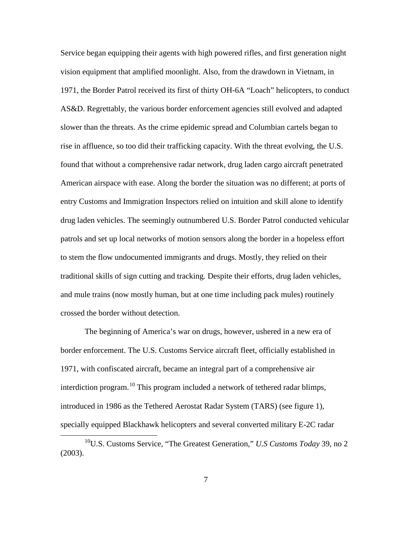Service began equipping their agents with high powered rifles, and first generation night vision equipment that amplified moonlight. Also, from the drawdown in Vietnam, in 1971, the Border Patrol received its first of thirty OH-6A "Loach" helicopters, to conduct AS&D. Regrettably, the various border enforcement agencies still evolved and adapted slower than the threats. As the crime epidemic spread and Columbian cartels began to rise in affluence, so too did their trafficking capacity. With the threat evolving, the U.S. found that without a comprehensive radar network, drug laden cargo aircraft penetrated American airspace with ease. Along the border the situation was no different; at ports of entry Customs and Immigration Inspectors relied on intuition and skill alone to identify drug laden vehicles. The seemingly outnumbered U.S. Border Patrol conducted vehicular patrols and set up local networks of motion sensors along the border in a hopeless effort to stem the flow undocumented immigrants and drugs. Mostly, they relied on their traditional skills of sign cutting and tracking. Despite their efforts, drug laden vehicles, and mule trains (now mostly human, but at one time including pack mules) routinely crossed the border without detection.

The beginning of America's war on drugs, however, ushered in a new era of border enforcement. The U.S. Customs Service aircraft fleet, officially established in 1971, with confiscated aircraft, became an integral part of a comprehensive air interdiction program.[10](#page-16-0) This program included a network of tethered radar blimps, introduced in 1986 as the Tethered Aerostat Radar System (TARS) (see figure 1), specially equipped Blackhawk helicopters and several converted military E-2C radar

<span id="page-16-0"></span> <sup>10</sup>U.S. Customs Service, "The Greatest Generation," *U.S Customs Today* 39, no 2 (2003).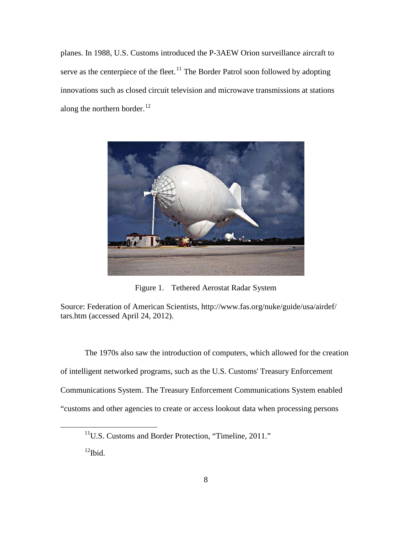planes. In 1988, U.S. Customs introduced the P-3AEW Orion surveillance aircraft to serve as the centerpiece of the fleet.<sup>[11](#page-17-0)</sup> The Border Patrol soon followed by adopting innovations such as closed circuit television and microwave transmissions at stations along the northern border.<sup>[12](#page-17-1)</sup>



Figure 1. Tethered Aerostat Radar System

Source: Federation of American Scientists, http://www.fas.org/nuke/guide/usa/airdef/ tars.htm (accessed April 24, 2012).

The 1970s also saw the introduction of computers, which allowed for the creation of intelligent networked programs, such as the U.S. Customs' Treasury Enforcement Communications System. The Treasury Enforcement Communications System enabled "customs and other agencies to create or access lookout data when processing persons

<span id="page-17-1"></span> $12$ Ibid.

<span id="page-17-0"></span><sup>&</sup>lt;sup>11</sup>U.S. Customs and Border Protection, "Timeline, 2011."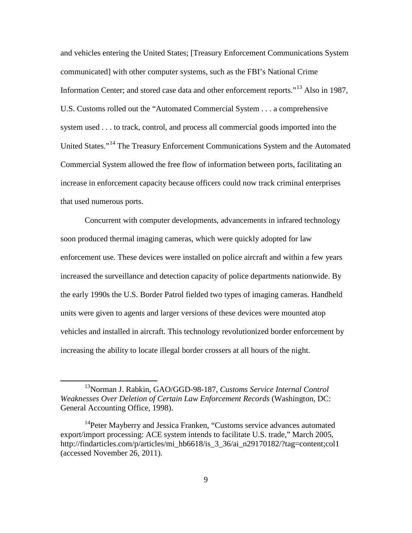and vehicles entering the United States; [Treasury Enforcement Communications System communicated] with other computer systems, such as the FBI's National Crime Information Center; and stored case data and other enforcement reports."<sup>[13](#page-18-0)</sup> Also in 1987, U.S. Customs rolled out the "Automated Commercial System . . . a comprehensive system used . . . to track, control, and process all commercial goods imported into the United States."[14](#page-18-1) The Treasury Enforcement Communications System and the Automated Commercial System allowed the free flow of information between ports, facilitating an increase in enforcement capacity because officers could now track criminal enterprises that used numerous ports.

Concurrent with computer developments, advancements in infrared technology soon produced thermal imaging cameras, which were quickly adopted for law enforcement use. These devices were installed on police aircraft and within a few years increased the surveillance and detection capacity of police departments nationwide. By the early 1990s the U.S. Border Patrol fielded two types of imaging cameras. Handheld units were given to agents and larger versions of these devices were mounted atop vehicles and installed in aircraft. This technology revolutionized border enforcement by increasing the ability to locate illegal border crossers at all hours of the night.

<span id="page-18-0"></span> <sup>13</sup>Norman J. Rabkin, GAO/GGD-98-187, *Customs Service Internal Control Weaknesses Over Deletion of Certain Law Enforcement Records* (Washington, DC: General Accounting Office, 1998).

<span id="page-18-1"></span><sup>&</sup>lt;sup>14</sup>Peter Mayberry and Jessica Franken, "Customs service advances automated export/import processing: ACE system intends to facilitate U.S. trade," March 2005, http://findarticles.com/p/articles/mi\_hb6618/is\_3\_36/ai\_n29170182/?tag=content;col1 (accessed November 26, 2011).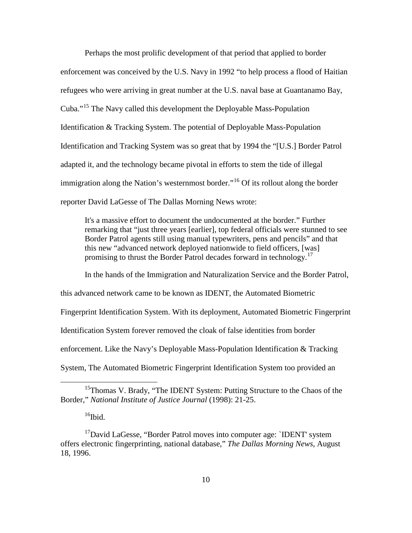Perhaps the most prolific development of that period that applied to border enforcement was conceived by the U.S. Navy in 1992 "to help process a flood of Haitian refugees who were arriving in great number at the U.S. naval base at Guantanamo Bay, Cuba."[15](#page-19-0) The Navy called this development the Deployable Mass-Population Identification & Tracking System. The potential of Deployable Mass-Population Identification and Tracking System was so great that by 1994 the "[U.S.] Border Patrol adapted it, and the technology became pivotal in efforts to stem the tide of illegal immigration along the Nation's westernmost border."<sup>[16](#page-19-1)</sup> Of its rollout along the border reporter David LaGesse of The Dallas Morning News wrote:

It's a massive effort to document the undocumented at the border." Further remarking that "just three years [earlier], top federal officials were stunned to see Border Patrol agents still using manual typewriters, pens and pencils" and that this new "advanced network deployed nationwide to field officers, [was] promising to thrust the Border Patrol decades forward in technology.[17](#page-19-2)

In the hands of the Immigration and Naturalization Service and the Border Patrol, this advanced network came to be known as IDENT, the Automated Biometric Fingerprint Identification System. With its deployment, Automated Biometric Fingerprint Identification System forever removed the cloak of false identities from border enforcement. Like the Navy's Deployable Mass-Population Identification & Tracking System, The Automated Biometric Fingerprint Identification System too provided an

<span id="page-19-0"></span><sup>&</sup>lt;sup>15</sup>Thomas V. Brady, "The IDENT System: Putting Structure to the Chaos of the Border," *National Institute of Justice Journal* (1998): 21-25.

 $16$ Ibid.

<span id="page-19-2"></span><span id="page-19-1"></span> $17$ David LaGesse, "Border Patrol moves into computer age: `IDENT' system offers electronic fingerprinting, national database," *The Dallas Morning News*, August 18, 1996.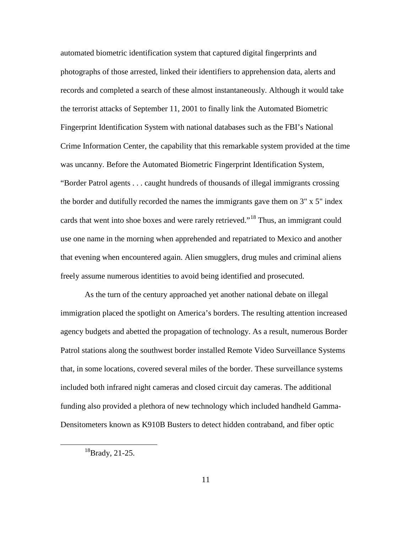automated biometric identification system that captured digital fingerprints and photographs of those arrested, linked their identifiers to apprehension data, alerts and records and completed a search of these almost instantaneously. Although it would take the terrorist attacks of September 11, 2001 to finally link the Automated Biometric Fingerprint Identification System with national databases such as the FBI's National Crime Information Center, the capability that this remarkable system provided at the time was uncanny. Before the Automated Biometric Fingerprint Identification System, "Border Patrol agents . . . caught hundreds of thousands of illegal immigrants crossing the border and dutifully recorded the names the immigrants gave them on 3" x 5" index cards that went into shoe boxes and were rarely retrieved."<sup>[18](#page-20-0)</sup> Thus, an immigrant could use one name in the morning when apprehended and repatriated to Mexico and another that evening when encountered again. Alien smugglers, drug mules and criminal aliens freely assume numerous identities to avoid being identified and prosecuted.

As the turn of the century approached yet another national debate on illegal immigration placed the spotlight on America's borders. The resulting attention increased agency budgets and abetted the propagation of technology. As a result, numerous Border Patrol stations along the southwest border installed Remote Video Surveillance Systems that, in some locations, covered several miles of the border. These surveillance systems included both infrared night cameras and closed circuit day cameras. The additional funding also provided a plethora of new technology which included handheld Gamma-Densitometers known as K910B Busters to detect hidden contraband, and fiber optic

<span id="page-20-0"></span> $18$ Brady, 21-25.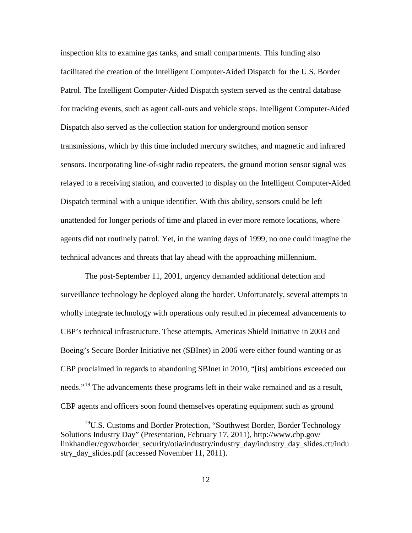inspection kits to examine gas tanks, and small compartments. This funding also facilitated the creation of the Intelligent Computer-Aided Dispatch for the U.S. Border Patrol. The Intelligent Computer-Aided Dispatch system served as the central database for tracking events, such as agent call-outs and vehicle stops. Intelligent Computer-Aided Dispatch also served as the collection station for underground motion sensor transmissions, which by this time included mercury switches, and magnetic and infrared sensors. Incorporating line-of-sight radio repeaters, the ground motion sensor signal was relayed to a receiving station, and converted to display on the Intelligent Computer-Aided Dispatch terminal with a unique identifier. With this ability, sensors could be left unattended for longer periods of time and placed in ever more remote locations, where agents did not routinely patrol. Yet, in the waning days of 1999, no one could imagine the technical advances and threats that lay ahead with the approaching millennium.

The post-September 11, 2001, urgency demanded additional detection and surveillance technology be deployed along the border. Unfortunately, several attempts to wholly integrate technology with operations only resulted in piecemeal advancements to CBP's technical infrastructure. These attempts, Americas Shield Initiative in 2003 and Boeing's Secure Border Initiative net (SBInet) in 2006 were either found wanting or as CBP proclaimed in regards to abandoning SBInet in 2010, "[its] ambitions exceeded our needs."<sup>[19](#page-21-0)</sup> The advancements these programs left in their wake remained and as a result, CBP agents and officers soon found themselves operating equipment such as ground

<span id="page-21-0"></span><sup>&</sup>lt;sup>19</sup>U.S. Customs and Border Protection, "Southwest Border, Border Technology Solutions Industry Day" (Presentation, February 17, 2011), http://www.cbp.gov/ linkhandler/cgov/border\_security/otia/industry/industry\_day/industry\_day\_slides.ctt/indu stry day slides.pdf (accessed November 11, 2011).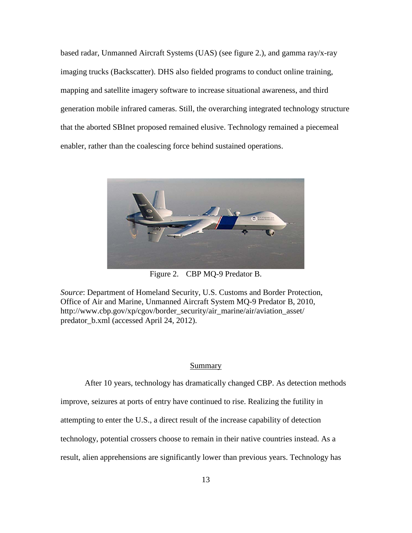based radar, Unmanned Aircraft Systems (UAS) (see figure 2.), and gamma ray/x-ray imaging trucks (Backscatter). DHS also fielded programs to conduct online training, mapping and satellite imagery software to increase situational awareness, and third generation mobile infrared cameras. Still, the overarching integrated technology structure that the aborted SBInet proposed remained elusive. Technology remained a piecemeal enabler, rather than the coalescing force behind sustained operations.



Figure 2. CBP MQ-9 Predator B.

*Source*: Department of Homeland Security, U.S. Customs and Border Protection, Office of Air and Marine, Unmanned Aircraft System MQ-9 Predator B, 2010, http://www.cbp.gov/xp/cgov/border\_security/air\_marine/air/aviation\_asset/ predator\_b.xml (accessed April 24, 2012).

#### **Summary**

After 10 years, technology has dramatically changed CBP. As detection methods improve, seizures at ports of entry have continued to rise. Realizing the futility in attempting to enter the U.S., a direct result of the increase capability of detection technology, potential crossers choose to remain in their native countries instead. As a result, alien apprehensions are significantly lower than previous years. Technology has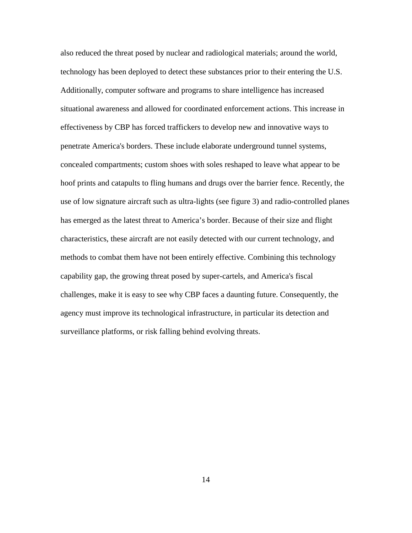also reduced the threat posed by nuclear and radiological materials; around the world, technology has been deployed to detect these substances prior to their entering the U.S. Additionally, computer software and programs to share intelligence has increased situational awareness and allowed for coordinated enforcement actions. This increase in effectiveness by CBP has forced traffickers to develop new and innovative ways to penetrate America's borders. These include elaborate underground tunnel systems, concealed compartments; custom shoes with soles reshaped to leave what appear to be hoof prints and catapults to fling humans and drugs over the barrier fence. Recently, the use of low signature aircraft such as ultra-lights (see figure 3) and radio-controlled planes has emerged as the latest threat to America's border. Because of their size and flight characteristics, these aircraft are not easily detected with our current technology, and methods to combat them have not been entirely effective. Combining this technology capability gap, the growing threat posed by super-cartels, and America's fiscal challenges, make it is easy to see why CBP faces a daunting future. Consequently, the agency must improve its technological infrastructure, in particular its detection and surveillance platforms, or risk falling behind evolving threats.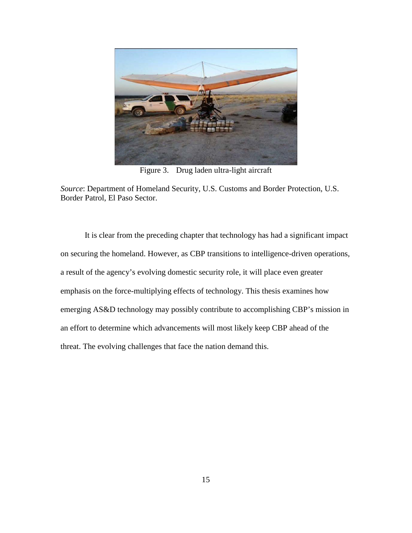

Figure 3. Drug laden ultra-light aircraft

*Source*: Department of Homeland Security, U.S. Customs and Border Protection, U.S. Border Patrol, El Paso Sector.

It is clear from the preceding chapter that technology has had a significant impact on securing the homeland. However, as CBP transitions to intelligence-driven operations, a result of the agency's evolving domestic security role, it will place even greater emphasis on the force-multiplying effects of technology. This thesis examines how emerging AS&D technology may possibly contribute to accomplishing CBP's mission in an effort to determine which advancements will most likely keep CBP ahead of the threat. The evolving challenges that face the nation demand this.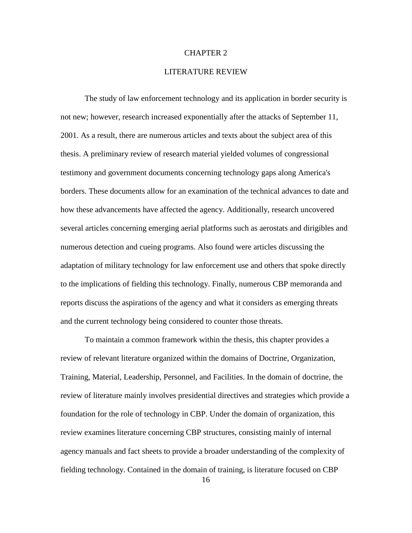### CHAPTER 2

### LITERATURE REVIEW

The study of law enforcement technology and its application in border security is not new; however, research increased exponentially after the attacks of September 11, 2001. As a result, there are numerous articles and texts about the subject area of this thesis. A preliminary review of research material yielded volumes of congressional testimony and government documents concerning technology gaps along America's borders. These documents allow for an examination of the technical advances to date and how these advancements have affected the agency. Additionally, research uncovered several articles concerning emerging aerial platforms such as aerostats and dirigibles and numerous detection and cueing programs. Also found were articles discussing the adaptation of military technology for law enforcement use and others that spoke directly to the implications of fielding this technology. Finally, numerous CBP memoranda and reports discuss the aspirations of the agency and what it considers as emerging threats and the current technology being considered to counter those threats.

To maintain a common framework within the thesis, this chapter provides a review of relevant literature organized within the domains of Doctrine, Organization, Training, Material, Leadership, Personnel, and Facilities. In the domain of doctrine, the review of literature mainly involves presidential directives and strategies which provide a foundation for the role of technology in CBP. Under the domain of organization, this review examines literature concerning CBP structures, consisting mainly of internal agency manuals and fact sheets to provide a broader understanding of the complexity of fielding technology. Contained in the domain of training, is literature focused on CBP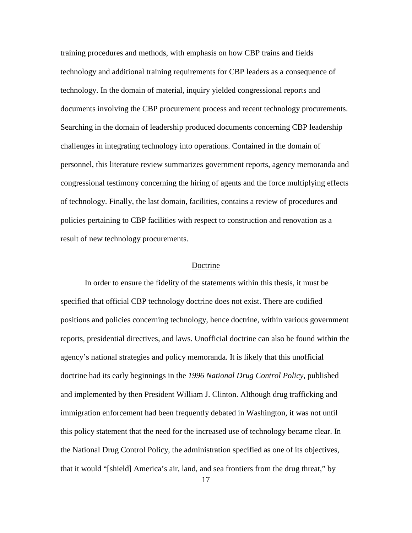training procedures and methods, with emphasis on how CBP trains and fields technology and additional training requirements for CBP leaders as a consequence of technology. In the domain of material, inquiry yielded congressional reports and documents involving the CBP procurement process and recent technology procurements. Searching in the domain of leadership produced documents concerning CBP leadership challenges in integrating technology into operations. Contained in the domain of personnel, this literature review summarizes government reports, agency memoranda and congressional testimony concerning the hiring of agents and the force multiplying effects of technology. Finally, the last domain, facilities, contains a review of procedures and policies pertaining to CBP facilities with respect to construction and renovation as a result of new technology procurements.

#### Doctrine

In order to ensure the fidelity of the statements within this thesis, it must be specified that official CBP technology doctrine does not exist. There are codified positions and policies concerning technology, hence doctrine, within various government reports, presidential directives, and laws. Unofficial doctrine can also be found within the agency's national strategies and policy memoranda. It is likely that this unofficial doctrine had its early beginnings in the *1996 National Drug Control Policy*, published and implemented by then President William J. Clinton. Although drug trafficking and immigration enforcement had been frequently debated in Washington, it was not until this policy statement that the need for the increased use of technology became clear. In the National Drug Control Policy, the administration specified as one of its objectives, that it would "[shield] America's air, land, and sea frontiers from the drug threat," by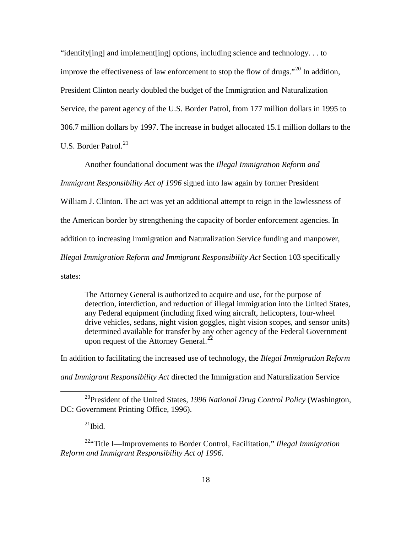"identify[ing] and implement[ing] options, including science and technology. . . to improve the effectiveness of law enforcement to stop the flow of drugs."<sup>[20](#page-27-0)</sup> In addition, President Clinton nearly doubled the budget of the Immigration and Naturalization Service, the parent agency of the U.S. Border Patrol, from 177 million dollars in 1995 to 306.7 million dollars by 1997. The increase in budget allocated 15.1 million dollars to the U.S. Border Patrol.<sup>[21](#page-27-1)</sup>

Another foundational document was the *Illegal Immigration Reform and* 

*Immigrant Responsibility Act of 1996* signed into law again by former President

William J. Clinton. The act was yet an additional attempt to reign in the lawlessness of

the American border by strengthening the capacity of border enforcement agencies. In

addition to increasing Immigration and Naturalization Service funding and manpower,

*Illegal Immigration Reform and Immigrant Responsibility Act* Section 103 specifically

states:

The Attorney General is authorized to acquire and use, for the purpose of detection, interdiction, and reduction of illegal immigration into the United States, any Federal equipment (including fixed wing aircraft, helicopters, four-wheel drive vehicles, sedans, night vision goggles, night vision scopes, and sensor units) determined available for transfer by any other agency of the Federal Government upon request of the Attorney General.<sup>[22](#page-27-2)</sup>

In addition to facilitating the increased use of technology, the *Illegal Immigration Reform* 

*and Immigrant Responsibility Act* directed the Immigration and Naturalization Service

 $^{21}$ Ibid.

<span id="page-27-2"></span><span id="page-27-1"></span>22"Title I—Improvements to Border Control, Facilitation," *Illegal Immigration Reform and Immigrant Responsibility Act of 1996*.

<span id="page-27-0"></span> <sup>20</sup>President of the United States, *1996 National Drug Control Policy* (Washington, DC: Government Printing Office, 1996).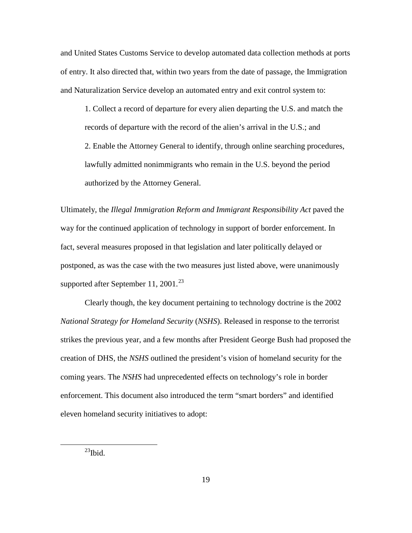and United States Customs Service to develop automated data collection methods at ports of entry. It also directed that, within two years from the date of passage, the Immigration and Naturalization Service develop an automated entry and exit control system to:

1. Collect a record of departure for every alien departing the U.S. and match the records of departure with the record of the alien's arrival in the U.S.; and 2. Enable the Attorney General to identify, through online searching procedures, lawfully admitted nonimmigrants who remain in the U.S. beyond the period authorized by the Attorney General.

Ultimately, the *Illegal Immigration Reform and Immigrant Responsibility Act* paved the way for the continued application of technology in support of border enforcement. In fact, several measures proposed in that legislation and later politically delayed or postponed, as was the case with the two measures just listed above, were unanimously supported after September 11, 2001. $^{23}$  $^{23}$  $^{23}$ 

Clearly though, the key document pertaining to technology doctrine is the 2002 *National Strategy for Homeland Security* (*NSHS*). Released in response to the terrorist strikes the previous year, and a few months after President George Bush had proposed the creation of DHS, the *NSHS* outlined the president's vision of homeland security for the coming years. The *NSHS* had unprecedented effects on technology's role in border enforcement. This document also introduced the term "smart borders" and identified eleven homeland security initiatives to adopt:

<span id="page-28-0"></span> $^{23}$ Ibid.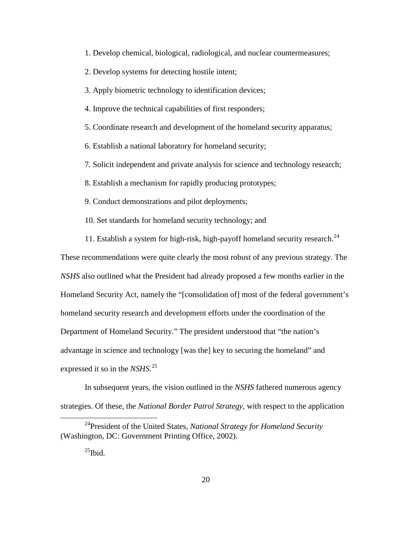1. Develop chemical, biological, radiological, and nuclear countermeasures;

2. Develop systems for detecting hostile intent;

3. Apply biometric technology to identification devices;

4. Improve the technical capabilities of first responders;

5. Coordinate research and development of the homeland security apparatus;

6. Establish a national laboratory for homeland security;

7. Solicit independent and private analysis for science and technology research;

8. Establish a mechanism for rapidly producing prototypes;

9. Conduct demonstrations and pilot deployments;

10. Set standards for homeland security technology; and

11. Establish a system for high-risk, high-payoff homeland security research.<sup>[24](#page-29-0)</sup>

These recommendations were quite clearly the most robust of any previous strategy. The *NSHS* also outlined what the President had already proposed a few months earlier in the Homeland Security Act, namely the "[consolidation of] most of the federal government's homeland security research and development efforts under the coordination of the Department of Homeland Security." The president understood that "the nation's advantage in science and technology [was the] key to securing the homeland" and expressed it so in the *NSHS*. [25](#page-29-1)

In subsequent years, the vision outlined in the *NSHS* fathered numerous agency strategies. Of these, the *National Border Patrol Strategy*, with respect to the application

<span id="page-29-1"></span><span id="page-29-0"></span> <sup>24</sup>President of the United States, *National Strategy for Homeland Security* (Washington, DC: Government Printing Office, 2002).

 $^{25}$ Ibid.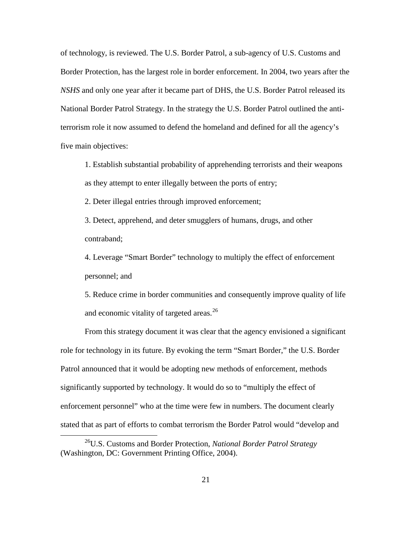of technology, is reviewed. The U.S. Border Patrol, a sub-agency of U.S. Customs and Border Protection, has the largest role in border enforcement. In 2004, two years after the *NSHS* and only one year after it became part of DHS, the U.S. Border Patrol released its National Border Patrol Strategy. In the strategy the U.S. Border Patrol outlined the antiterrorism role it now assumed to defend the homeland and defined for all the agency's five main objectives:

1. Establish substantial probability of apprehending terrorists and their weapons as they attempt to enter illegally between the ports of entry;

2. Deter illegal entries through improved enforcement;

3. Detect, apprehend, and deter smugglers of humans, drugs, and other contraband;

4. Leverage "Smart Border" technology to multiply the effect of enforcement personnel; and

5. Reduce crime in border communities and consequently improve quality of life and economic vitality of targeted areas.<sup>[26](#page-30-0)</sup>

From this strategy document it was clear that the agency envisioned a significant role for technology in its future. By evoking the term "Smart Border," the U.S. Border Patrol announced that it would be adopting new methods of enforcement, methods significantly supported by technology. It would do so to "multiply the effect of enforcement personnel" who at the time were few in numbers. The document clearly stated that as part of efforts to combat terrorism the Border Patrol would "develop and

<span id="page-30-0"></span> <sup>26</sup>U.S. Customs and Border Protection, *National Border Patrol Strategy* (Washington, DC: Government Printing Office, 2004).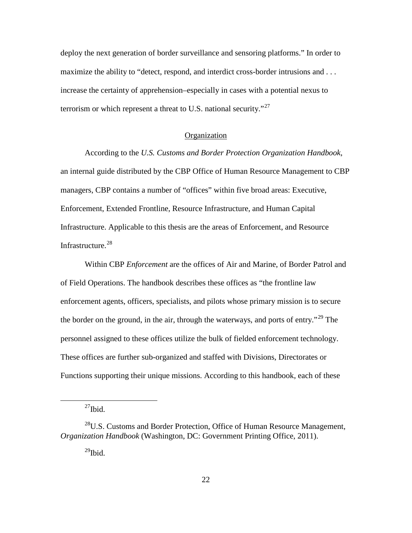deploy the next generation of border surveillance and sensoring platforms." In order to maximize the ability to "detect, respond, and interdict cross-border intrusions and ... increase the certainty of apprehension–especially in cases with a potential nexus to terrorism or which represent a threat to U.S. national security."<sup>[27](#page-31-0)</sup>

## **Organization**

According to the *U.S. Customs and Border Protection Organization Handbook*, an internal guide distributed by the CBP Office of Human Resource Management to CBP managers, CBP contains a number of "offices" within five broad areas: Executive, Enforcement, Extended Frontline, Resource Infrastructure, and Human Capital Infrastructure. Applicable to this thesis are the areas of Enforcement, and Resource Infrastructure.[28](#page-31-1)

Within CBP *Enforcement* are the offices of Air and Marine, of Border Patrol and of Field Operations. The handbook describes these offices as "the frontline law enforcement agents, officers, specialists, and pilots whose primary mission is to secure the border on the ground, in the air, through the waterways, and ports of entry.<sup>"[29](#page-31-2)</sup> The personnel assigned to these offices utilize the bulk of fielded enforcement technology. These offices are further sub-organized and staffed with Divisions, Directorates or Functions supporting their unique missions. According to this handbook, each of these

 $^{27}$ Ibid.

<span id="page-31-2"></span><span id="page-31-1"></span><span id="page-31-0"></span><sup>&</sup>lt;sup>28</sup>U.S. Customs and Border Protection, Office of Human Resource Management, *Organization Handbook* (Washington, DC: Government Printing Office, 2011).

 $^{29}$ Ibid.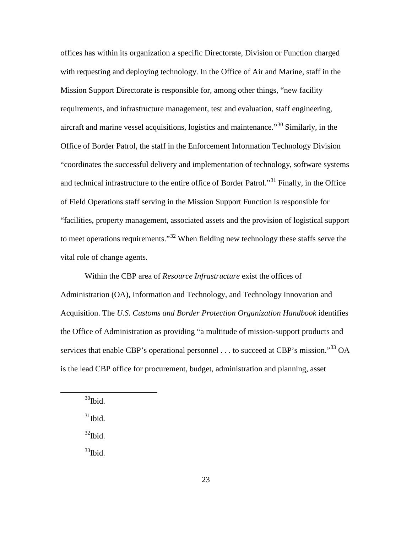offices has within its organization a specific Directorate, Division or Function charged with requesting and deploying technology. In the Office of Air and Marine, staff in the Mission Support Directorate is responsible for, among other things, "new facility requirements, and infrastructure management, test and evaluation, staff engineering, aircraft and marine vessel acquisitions, logistics and maintenance."[30](#page-32-0) Similarly, in the Office of Border Patrol, the staff in the Enforcement Information Technology Division "coordinates the successful delivery and implementation of technology, software systems and technical infrastructure to the entire office of Border Patrol."<sup>[31](#page-32-1)</sup> Finally, in the Office of Field Operations staff serving in the Mission Support Function is responsible for "facilities, property management, associated assets and the provision of logistical support to meet operations requirements."<sup>[32](#page-32-2)</sup> When fielding new technology these staffs serve the vital role of change agents.

Within the CBP area of *Resource Infrastructure* exist the offices of Administration (OA), Information and Technology, and Technology Innovation and Acquisition. The *U.S. Customs and Border Protection Organization Handbook* identifies the Office of Administration as providing "a multitude of mission-support products and services that enable CBP's operational personnel . . . to succeed at CBP's mission."<sup>[33](#page-32-3)</sup> OA is the lead CBP office for procurement, budget, administration and planning, asset

<span id="page-32-0"></span> $30$ Ibid.

<span id="page-32-1"></span> $31$ Ibid.

<span id="page-32-2"></span> $32$ Ibid.

<span id="page-32-3"></span> $33$ Ibid.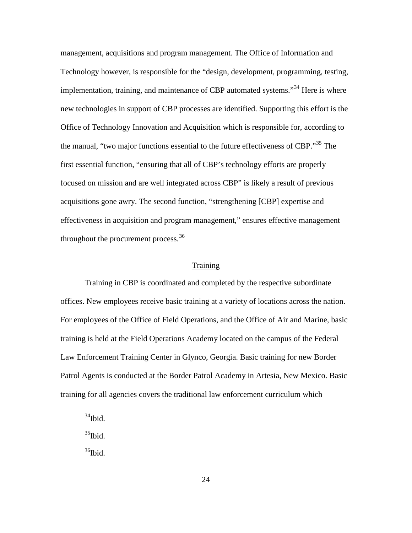management, acquisitions and program management. The Office of Information and Technology however, is responsible for the "design, development, programming, testing, implementation, training, and maintenance of CBP automated systems."<sup>[34](#page-33-0)</sup> Here is where new technologies in support of CBP processes are identified. Supporting this effort is the Office of Technology Innovation and Acquisition which is responsible for, according to the manual, "two major functions essential to the future effectiveness of CBP."[35](#page-33-1) The first essential function, "ensuring that all of CBP's technology efforts are properly focused on mission and are well integrated across CBP" is likely a result of previous acquisitions gone awry. The second function, "strengthening [CBP] expertise and effectiveness in acquisition and program management," ensures effective management throughout the procurement process.<sup>[36](#page-33-2)</sup>

### **Training**

Training in CBP is coordinated and completed by the respective subordinate offices. New employees receive basic training at a variety of locations across the nation. For employees of the Office of Field Operations, and the Office of Air and Marine, basic training is held at the Field Operations Academy located on the campus of the Federal Law Enforcement Training Center in Glynco, Georgia. Basic training for new Border Patrol Agents is conducted at the Border Patrol Academy in Artesia, New Mexico. Basic training for all agencies covers the traditional law enforcement curriculum which

<span id="page-33-0"></span> $34$ Ibid.

<span id="page-33-1"></span> $35$ Ibid.

<span id="page-33-2"></span> $36$ Ibid.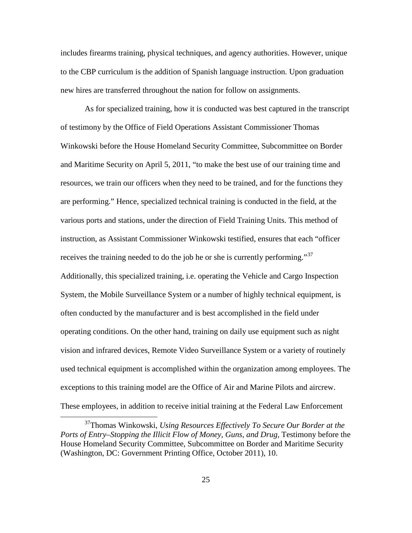includes firearms training, physical techniques, and agency authorities. However, unique to the CBP curriculum is the addition of Spanish language instruction. Upon graduation new hires are transferred throughout the nation for follow on assignments.

As for specialized training, how it is conducted was best captured in the transcript of testimony by the Office of Field Operations Assistant Commissioner Thomas Winkowski before the House Homeland Security Committee, Subcommittee on Border and Maritime Security on April 5, 2011, "to make the best use of our training time and resources, we train our officers when they need to be trained, and for the functions they are performing." Hence, specialized technical training is conducted in the field, at the various ports and stations, under the direction of Field Training Units. This method of instruction, as Assistant Commissioner Winkowski testified, ensures that each "officer receives the training needed to do the job he or she is currently performing."<sup>[37](#page-34-0)</sup> Additionally, this specialized training, i.e. operating the Vehicle and Cargo Inspection System, the Mobile Surveillance System or a number of highly technical equipment, is often conducted by the manufacturer and is best accomplished in the field under operating conditions. On the other hand, training on daily use equipment such as night vision and infrared devices, Remote Video Surveillance System or a variety of routinely used technical equipment is accomplished within the organization among employees. The exceptions to this training model are the Office of Air and Marine Pilots and aircrew. These employees, in addition to receive initial training at the Federal Law Enforcement

<span id="page-34-0"></span> <sup>37</sup>Thomas Winkowski, *Using Resources Effectively To Secure Our Border at the Ports of Entry–Stopping the Illicit Flow of Money, Guns, and Drug,* Testimony before the House Homeland Security Committee, Subcommittee on Border and Maritime Security (Washington, DC: Government Printing Office, October 2011), 10.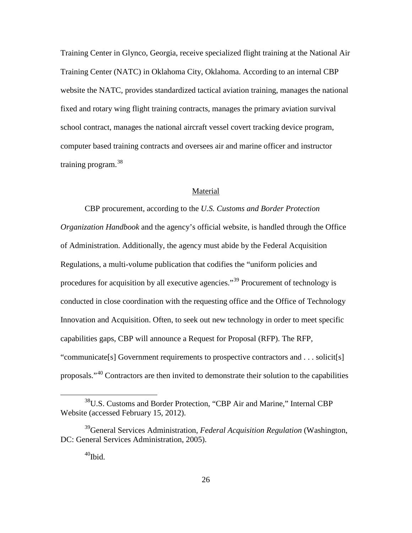Training Center in Glynco, Georgia, receive specialized flight training at the National Air Training Center (NATC) in Oklahoma City, Oklahoma. According to an internal CBP website the NATC, provides standardized tactical aviation training, manages the national fixed and rotary wing flight training contracts, manages the primary aviation survival school contract, manages the national aircraft vessel covert tracking device program, computer based training contracts and oversees air and marine officer and instructor training program.<sup>[38](#page-35-0)</sup>

## Material

CBP procurement, according to the *U.S. Customs and Border Protection Organization Handbook* and the agency's official website, is handled through the Office of Administration. Additionally, the agency must abide by the Federal Acquisition Regulations, a multi-volume publication that codifies the "uniform policies and procedures for acquisition by all executive agencies."<sup>[39](#page-35-1)</sup> Procurement of technology is conducted in close coordination with the requesting office and the Office of Technology Innovation and Acquisition. Often, to seek out new technology in order to meet specific capabilities gaps, CBP will announce a Request for Proposal (RFP). The RFP, "communicate[s] Government requirements to prospective contractors and . . . solicit[s] proposals."[40](#page-35-2) Contractors are then invited to demonstrate their solution to the capabilities

<span id="page-35-0"></span> <sup>38</sup>U.S. Customs and Border Protection, "CBP Air and Marine," Internal CBP Website (accessed February 15, 2012).

<span id="page-35-2"></span><span id="page-35-1"></span><sup>39</sup>General Services Administration, *Federal Acquisition Regulation* (Washington, DC: General Services Administration, 2005).

 $^{40}$ Ibid.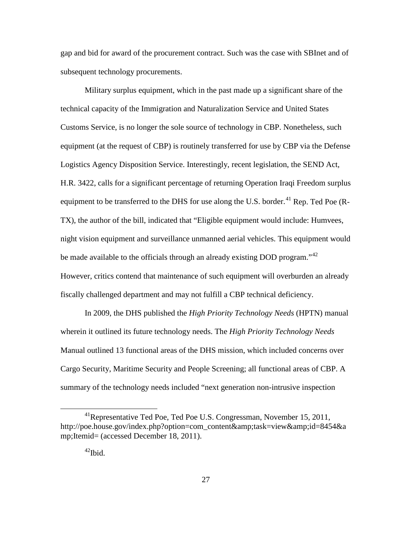gap and bid for award of the procurement contract. Such was the case with SBInet and of subsequent technology procurements.

Military surplus equipment, which in the past made up a significant share of the technical capacity of the Immigration and Naturalization Service and United States Customs Service, is no longer the sole source of technology in CBP. Nonetheless, such equipment (at the request of CBP) is routinely transferred for use by CBP via the Defense Logistics Agency Disposition Service. Interestingly, recent legislation, the SEND Act, H.R. 3422, calls for a significant percentage of returning Operation Iraqi Freedom surplus equipment to be transferred to the DHS for use along the U.S. border. $^{41}$  $^{41}$  $^{41}$  Rep. Ted Poe (R-TX), the author of the bill, indicated that "Eligible equipment would include: Humvees, night vision equipment and surveillance unmanned aerial vehicles. This equipment would be made available to the officials through an already existing DOD program.<sup>[42](#page-36-1)</sup> However, critics contend that maintenance of such equipment will overburden an already fiscally challenged department and may not fulfill a CBP technical deficiency.

In 2009, the DHS published the *High Priority Technology Needs* (HPTN) manual wherein it outlined its future technology needs. The *High Priority Technology Needs* Manual outlined 13 functional areas of the DHS mission, which included concerns over Cargo Security, Maritime Security and People Screening; all functional areas of CBP. A summary of the technology needs included "next generation non-intrusive inspection

<span id="page-36-1"></span><span id="page-36-0"></span><sup>&</sup>lt;sup>41</sup>Representative Ted Poe, Ted Poe U.S. Congressman, November 15, 2011, http://poe.house.gov/index.php?option=com\_content&amp:task=view&amp:id=8454&a mp;Itemid= (accessed December 18, 2011).

 $42$ Ibid.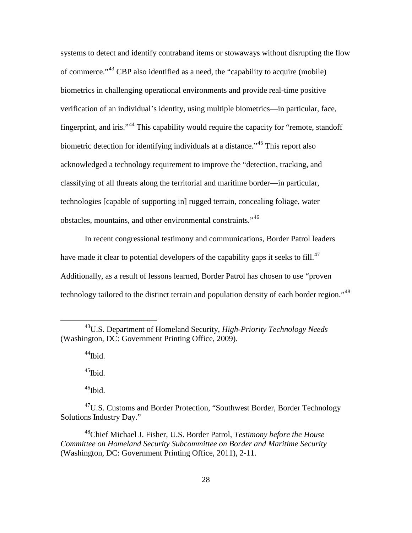systems to detect and identify contraband items or stowaways without disrupting the flow of commerce."[43](#page-37-0) CBP also identified as a need, the "capability to acquire (mobile) biometrics in challenging operational environments and provide real-time positive verification of an individual's identity, using multiple biometrics—in particular, face, fingerprint, and iris."[44](#page-37-1) This capability would require the capacity for "remote, standoff biometric detection for identifying individuals at a distance."<sup>[45](#page-37-2)</sup> This report also acknowledged a technology requirement to improve the "detection, tracking, and classifying of all threats along the territorial and maritime border—in particular, technologies [capable of supporting in] rugged terrain, concealing foliage, water obstacles, mountains, and other environmental constraints."<sup>[46](#page-37-3)</sup>

In recent congressional testimony and communications, Border Patrol leaders have made it clear to potential developers of the capability gaps it seeks to fill.<sup>[47](#page-37-4)</sup> Additionally, as a result of lessons learned, Border Patrol has chosen to use "proven technology tailored to the distinct terrain and population density of each border region."<sup>[48](#page-37-5)</sup>

 $45$ Ibid.

 $46$ Ibid.

<span id="page-37-1"></span><span id="page-37-0"></span> <sup>43</sup>U.S. Department of Homeland Security, *High-Priority Technology Needs* (Washington, DC: Government Printing Office, 2009).

 $^{44}$ Ibid.

<span id="page-37-4"></span><span id="page-37-3"></span><span id="page-37-2"></span><sup>&</sup>lt;sup>47</sup>U.S. Customs and Border Protection, "Southwest Border, Border Technology Solutions Industry Day."

<span id="page-37-5"></span><sup>48</sup>Chief Michael J. Fisher, U.S. Border Patrol, *Testimony before the House Committee on Homeland Security Subcommittee on Border and Maritime Security* (Washington, DC: Government Printing Office, 2011), 2-11.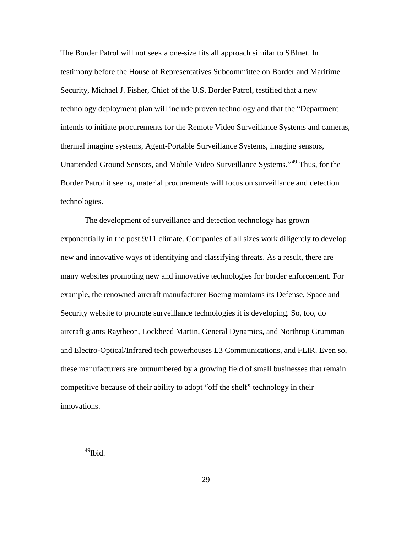The Border Patrol will not seek a one-size fits all approach similar to SBInet. In testimony before the House of Representatives Subcommittee on Border and Maritime Security, Michael J. Fisher, Chief of the U.S. Border Patrol, testified that a new technology deployment plan will include proven technology and that the "Department intends to initiate procurements for the Remote Video Surveillance Systems and cameras, thermal imaging systems, Agent-Portable Surveillance Systems, imaging sensors, Unattended Ground Sensors, and Mobile Video Surveillance Systems."[49](#page-38-0) Thus, for the Border Patrol it seems, material procurements will focus on surveillance and detection technologies.

The development of surveillance and detection technology has grown exponentially in the post 9/11 climate. Companies of all sizes work diligently to develop new and innovative ways of identifying and classifying threats. As a result, there are many websites promoting new and innovative technologies for border enforcement. For example, the renowned aircraft manufacturer Boeing maintains its Defense, Space and Security website to promote surveillance technologies it is developing. So, too, do aircraft giants Raytheon, Lockheed Martin, General Dynamics, and Northrop Grumman and Electro-Optical/Infrared tech powerhouses L3 Communications, and FLIR. Even so, these manufacturers are outnumbered by a growing field of small businesses that remain competitive because of their ability to adopt "off the shelf" technology in their innovations.

<span id="page-38-0"></span>49Ibid.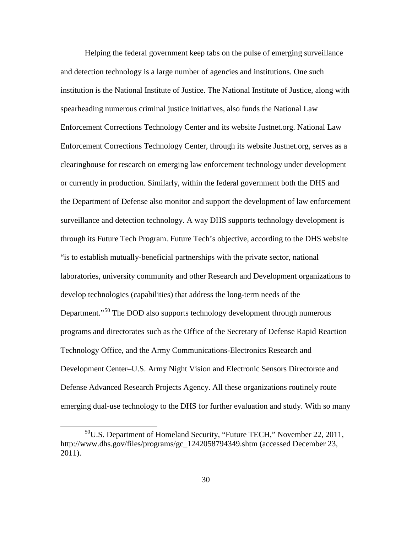Helping the federal government keep tabs on the pulse of emerging surveillance and detection technology is a large number of agencies and institutions. One such institution is the National Institute of Justice. The National Institute of Justice, along with spearheading numerous criminal justice initiatives, also funds the National Law Enforcement Corrections Technology Center and its website Justnet.org. National Law Enforcement Corrections Technology Center, through its website Justnet.org, serves as a clearinghouse for research on emerging law enforcement technology under development or currently in production. Similarly, within the federal government both the DHS and the Department of Defense also monitor and support the development of law enforcement surveillance and detection technology. A way DHS supports technology development is through its Future Tech Program. Future Tech's objective, according to the DHS website "is to establish mutually-beneficial partnerships with the private sector, national laboratories, university community and other Research and Development organizations to develop technologies (capabilities) that address the long-term needs of the Department."<sup>[50](#page-39-0)</sup> The DOD also supports technology development through numerous programs and directorates such as the Office of the Secretary of Defense Rapid Reaction Technology Office, and the Army Communications-Electronics Research and Development Center–U.S. Army Night Vision and Electronic Sensors Directorate and Defense Advanced Research Projects Agency. All these organizations routinely route emerging dual-use technology to the DHS for further evaluation and study. With so many

<span id="page-39-0"></span> $50$ U.S. Department of Homeland Security, "Future TECH," November 22, 2011, http://www.dhs.gov/files/programs/gc\_1242058794349.shtm (accessed December 23, 2011).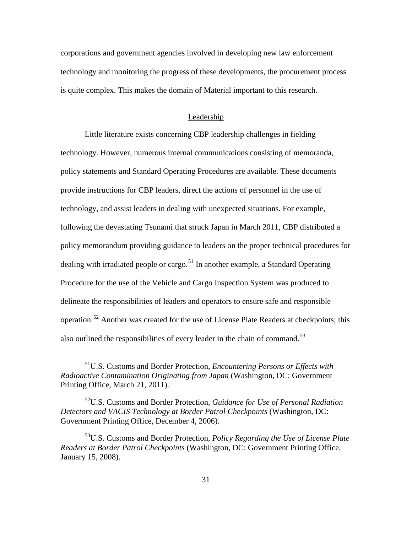corporations and government agencies involved in developing new law enforcement technology and monitoring the progress of these developments, the procurement process is quite complex. This makes the domain of Material important to this research.

# Leadership

Little literature exists concerning CBP leadership challenges in fielding technology. However, numerous internal communications consisting of memoranda, policy statements and Standard Operating Procedures are available. These documents provide instructions for CBP leaders, direct the actions of personnel in the use of technology, and assist leaders in dealing with unexpected situations. For example, following the devastating Tsunami that struck Japan in March 2011, CBP distributed a policy memorandum providing guidance to leaders on the proper technical procedures for dealing with irradiated people or cargo.<sup>[51](#page-40-0)</sup> In another example, a Standard Operating Procedure for the use of the Vehicle and Cargo Inspection System was produced to delineate the responsibilities of leaders and operators to ensure safe and responsible operation.<sup>[52](#page-40-1)</sup> Another was created for the use of License Plate Readers at checkpoints; this also outlined the responsibilities of every leader in the chain of command.<sup>[53](#page-40-2)</sup>

<span id="page-40-0"></span> <sup>51</sup>U.S. Customs and Border Protection, *Encountering Persons or Effects with Radioactive Contamination Originating from Japan* (Washington, DC: Government Printing Office, March 21, 2011).

<span id="page-40-1"></span><sup>52</sup>U.S. Customs and Border Protection, *Guidance for Use of Personal Radiation Detectors and VACIS Technology at Border Patrol Checkpoints* (Washington, DC: Government Printing Office, December 4, 2006).

<span id="page-40-2"></span><sup>53</sup>U.S. Customs and Border Protection, *Policy Regarding the Use of License Plate Readers at Border Patrol Checkpoints* (Washington, DC: Government Printing Office, January 15, 2008).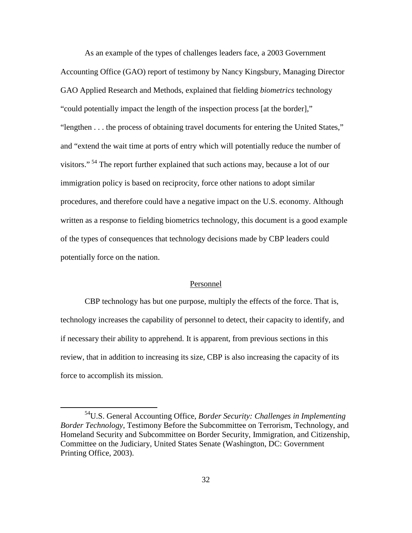As an example of the types of challenges leaders face, a 2003 Government Accounting Office (GAO) report of testimony by Nancy Kingsbury, Managing Director GAO Applied Research and Methods, explained that fielding *biometrics* technology "could potentially impact the length of the inspection process [at the border]," "lengthen . . . the process of obtaining travel documents for entering the United States," and "extend the wait time at ports of entry which will potentially reduce the number of visitors." [54](#page-41-0) The report further explained that such actions may, because a lot of our immigration policy is based on reciprocity, force other nations to adopt similar procedures, and therefore could have a negative impact on the U.S. economy. Although written as a response to fielding biometrics technology, this document is a good example of the types of consequences that technology decisions made by CBP leaders could potentially force on the nation.

#### Personnel

CBP technology has but one purpose, multiply the effects of the force. That is, technology increases the capability of personnel to detect, their capacity to identify, and if necessary their ability to apprehend. It is apparent, from previous sections in this review, that in addition to increasing its size, CBP is also increasing the capacity of its force to accomplish its mission.

<span id="page-41-0"></span> <sup>54</sup>U.S. General Accounting Office, *Border Security: Challenges in Implementing Border Technology*, Testimony Before the Subcommittee on Terrorism, Technology, and Homeland Security and Subcommittee on Border Security, Immigration, and Citizenship, Committee on the Judiciary, United States Senate (Washington, DC: Government Printing Office, 2003).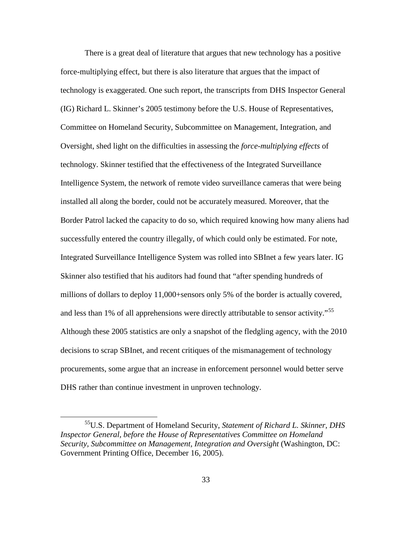There is a great deal of literature that argues that new technology has a positive force-multiplying effect, but there is also literature that argues that the impact of technology is exaggerated. One such report, the transcripts from DHS Inspector General (IG) Richard L. Skinner's 2005 testimony before the U.S. House of Representatives, Committee on Homeland Security, Subcommittee on Management, Integration, and Oversight, shed light on the difficulties in assessing the *force-multiplying effects* of technology. Skinner testified that the effectiveness of the Integrated Surveillance Intelligence System, the network of remote video surveillance cameras that were being installed all along the border, could not be accurately measured. Moreover, that the Border Patrol lacked the capacity to do so, which required knowing how many aliens had successfully entered the country illegally, of which could only be estimated. For note, Integrated Surveillance Intelligence System was rolled into SBInet a few years later. IG Skinner also testified that his auditors had found that "after spending hundreds of millions of dollars to deploy 11,000+sensors only 5% of the border is actually covered, and less than 1% of all apprehensions were directly attributable to sensor activity."<sup>[55](#page-42-0)</sup> Although these 2005 statistics are only a snapshot of the fledgling agency, with the 2010 decisions to scrap SBInet, and recent critiques of the mismanagement of technology procurements, some argue that an increase in enforcement personnel would better serve DHS rather than continue investment in unproven technology.

<span id="page-42-0"></span> <sup>55</sup>U.S. Department of Homeland Security, *Statement of Richard L. Skinner, DHS Inspector General, before the House of Representatives Committee on Homeland Security, Subcommittee on Management, Integration and Oversight* (Washington, DC: Government Printing Office, December 16, 2005).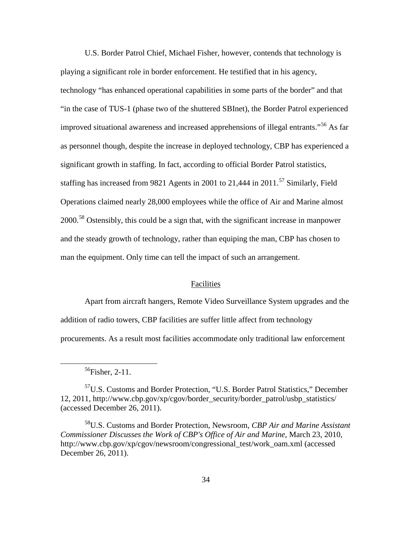U.S. Border Patrol Chief, Michael Fisher, however, contends that technology is playing a significant role in border enforcement. He testified that in his agency, technology "has enhanced operational capabilities in some parts of the border" and that "in the case of TUS-1 (phase two of the shuttered SBInet), the Border Patrol experienced improved situational awareness and increased apprehensions of illegal entrants."<sup>[56](#page-43-0)</sup> As far as personnel though, despite the increase in deployed technology, CBP has experienced a significant growth in staffing. In fact, according to official Border Patrol statistics, staffing has increased from 9821 Agents in 2001 to  $21,444$  in  $2011$ .<sup>[57](#page-43-1)</sup> Similarly, Field Operations claimed nearly 28,000 employees while the office of Air and Marine almost 2000.<sup>[58](#page-43-2)</sup> Ostensibly, this could be a sign that, with the significant increase in manpower and the steady growth of technology, rather than equiping the man, CBP has chosen to man the equipment. Only time can tell the impact of such an arrangement.

#### Facilities

Apart from aircraft hangers, Remote Video Surveillance System upgrades and the addition of radio towers, CBP facilities are suffer little affect from technology procurements. As a result most facilities accommodate only traditional law enforcement

 $^{56}$ Fisher, 2-11.

<span id="page-43-1"></span><span id="page-43-0"></span><sup>57</sup>U.S. Customs and Border Protection, "U.S. Border Patrol Statistics," December 12, 2011, http://www.cbp.gov/xp/cgov/border\_security/border\_patrol/usbp\_statistics/ (accessed December 26, 2011).

<span id="page-43-2"></span><sup>58</sup>U.S. Customs and Border Protection, Newsroom, *CBP Air and Marine Assistant Commissioner Discusses the Work of CBP's Office of Air and Marine*, March 23, 2010, http://www.cbp.gov/xp/cgov/newsroom/congressional\_test/work\_oam.xml (accessed December 26, 2011).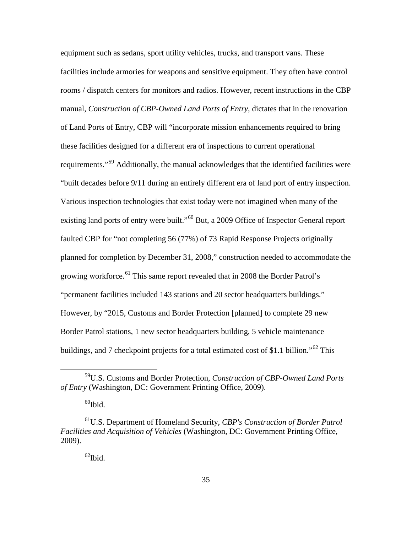equipment such as sedans, sport utility vehicles, trucks, and transport vans. These facilities include armories for weapons and sensitive equipment. They often have control rooms / dispatch centers for monitors and radios. However, recent instructions in the CBP manual, *Construction of CBP-Owned Land Ports of Entry*, dictates that in the renovation of Land Ports of Entry, CBP will "incorporate mission enhancements required to bring these facilities designed for a different era of inspections to current operational requirements."[59](#page-44-0) Additionally, the manual acknowledges that the identified facilities were "built decades before 9/11 during an entirely different era of land port of entry inspection. Various inspection technologies that exist today were not imagined when many of the existing land ports of entry were built."<sup>[60](#page-44-1)</sup> But, a 2009 Office of Inspector General report faulted CBP for "not completing 56 (77%) of 73 Rapid Response Projects originally planned for completion by December 31, 2008," construction needed to accommodate the growing workforce.<sup>[61](#page-44-2)</sup> This same report revealed that in 2008 the Border Patrol's "permanent facilities included 143 stations and 20 sector headquarters buildings." However, by "2015, Customs and Border Protection [planned] to complete 29 new Border Patrol stations, 1 new sector headquarters building, 5 vehicle maintenance buildings, and 7 checkpoint projects for a total estimated cost of \$1.1 billion."<sup>[62](#page-44-3)</sup> This

<span id="page-44-0"></span> <sup>59</sup>U.S. Customs and Border Protection, *Construction of CBP-Owned Land Ports of Entry* (Washington, DC: Government Printing Office, 2009).

 $60$ Ibid.

<span id="page-44-3"></span><span id="page-44-2"></span><span id="page-44-1"></span><sup>61</sup>U.S. Department of Homeland Security, *CBP's Construction of Border Patrol Facilities and Acquisition of Vehicles* (Washington, DC: Government Printing Office, 2009).

 $62$ Ibid.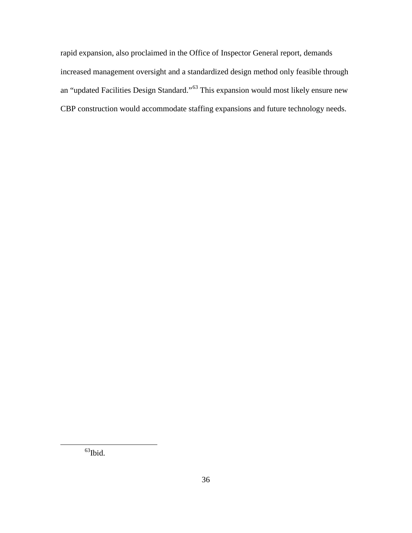rapid expansion, also proclaimed in the Office of Inspector General report, demands increased management oversight and a standardized design method only feasible through an "updated Facilities Design Standard."<sup>[63](#page-45-0)</sup> This expansion would most likely ensure new CBP construction would accommodate staffing expansions and future technology needs.

<span id="page-45-0"></span> $63$ Ibid.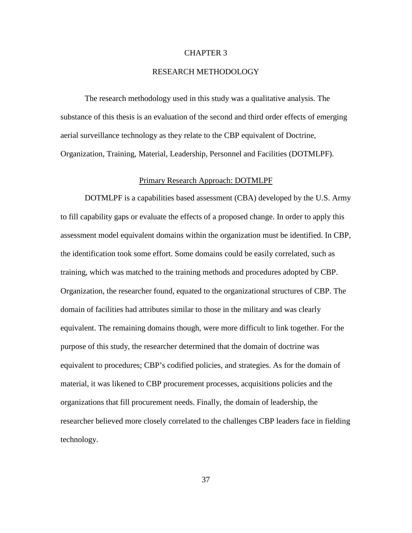# CHAPTER 3

# RESEARCH METHODOLOGY

The research methodology used in this study was a qualitative analysis. The substance of this thesis is an evaluation of the second and third order effects of emerging aerial surveillance technology as they relate to the CBP equivalent of Doctrine, Organization, Training, Material, Leadership, Personnel and Facilities (DOTMLPF).

#### Primary Research Approach: DOTMLPF

DOTMLPF is a capabilities based assessment (CBA) developed by the U.S. Army to fill capability gaps or evaluate the effects of a proposed change. In order to apply this assessment model equivalent domains within the organization must be identified. In CBP, the identification took some effort. Some domains could be easily correlated, such as training, which was matched to the training methods and procedures adopted by CBP. Organization, the researcher found, equated to the organizational structures of CBP. The domain of facilities had attributes similar to those in the military and was clearly equivalent. The remaining domains though, were more difficult to link together. For the purpose of this study, the researcher determined that the domain of doctrine was equivalent to procedures; CBP's codified policies, and strategies. As for the domain of material, it was likened to CBP procurement processes, acquisitions policies and the organizations that fill procurement needs. Finally, the domain of leadership, the researcher believed more closely correlated to the challenges CBP leaders face in fielding technology.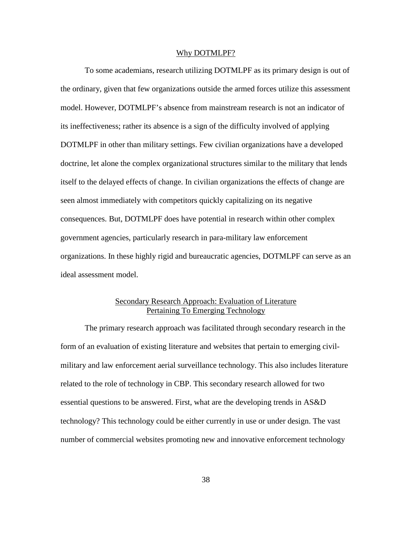#### Why DOTMLPF?

To some academians, research utilizing DOTMLPF as its primary design is out of the ordinary, given that few organizations outside the armed forces utilize this assessment model. However, DOTMLPF's absence from mainstream research is not an indicator of its ineffectiveness; rather its absence is a sign of the difficulty involved of applying DOTMLPF in other than military settings. Few civilian organizations have a developed doctrine, let alone the complex organizational structures similar to the military that lends itself to the delayed effects of change. In civilian organizations the effects of change are seen almost immediately with competitors quickly capitalizing on its negative consequences. But, DOTMLPF does have potential in research within other complex government agencies, particularly research in para-military law enforcement organizations. In these highly rigid and bureaucratic agencies, DOTMLPF can serve as an ideal assessment model.

# Secondary Research Approach: Evaluation of Literature Pertaining To Emerging Technology

The primary research approach was facilitated through secondary research in the form of an evaluation of existing literature and websites that pertain to emerging civilmilitary and law enforcement aerial surveillance technology. This also includes literature related to the role of technology in CBP. This secondary research allowed for two essential questions to be answered. First, what are the developing trends in AS&D technology? This technology could be either currently in use or under design. The vast number of commercial websites promoting new and innovative enforcement technology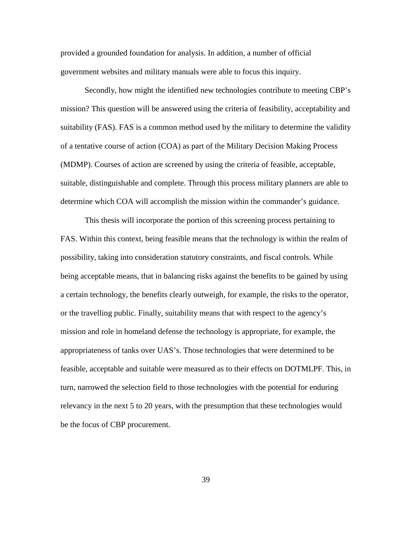provided a grounded foundation for analysis. In addition, a number of official government websites and military manuals were able to focus this inquiry.

Secondly, how might the identified new technologies contribute to meeting CBP's mission? This question will be answered using the criteria of feasibility, acceptability and suitability (FAS). FAS is a common method used by the military to determine the validity of a tentative course of action (COA) as part of the Military Decision Making Process (MDMP). Courses of action are screened by using the criteria of feasible, acceptable, suitable, distinguishable and complete. Through this process military planners are able to determine which COA will accomplish the mission within the commander's guidance.

This thesis will incorporate the portion of this screening process pertaining to FAS. Within this context, being feasible means that the technology is within the realm of possibility, taking into consideration statutory constraints, and fiscal controls. While being acceptable means, that in balancing risks against the benefits to be gained by using a certain technology, the benefits clearly outweigh, for example, the risks to the operator, or the travelling public. Finally, suitability means that with respect to the agency's mission and role in homeland defense the technology is appropriate, for example, the appropriateness of tanks over UAS's. Those technologies that were determined to be feasible, acceptable and suitable were measured as to their effects on DOTMLPF. This, in turn, narrowed the selection field to those technologies with the potential for enduring relevancy in the next 5 to 20 years, with the presumption that these technologies would be the focus of CBP procurement.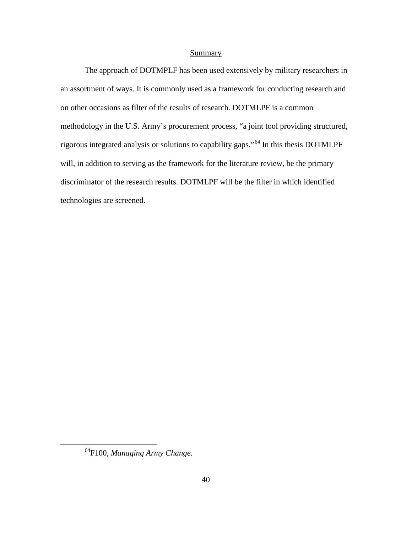### Summary

The approach of DOTMPLF has been used extensively by military researchers in an assortment of ways. It is commonly used as a framework for conducting research and on other occasions as filter of the results of research. DOTMLPF is a common methodology in the U.S. Army's procurement process, "a joint tool providing structured, rigorous integrated analysis or solutions to capability gaps."[64](#page-49-0) In this thesis DOTMLPF will, in addition to serving as the framework for the literature review, be the primary discriminator of the research results. DOTMLPF will be the filter in which identified technologies are screened.

<span id="page-49-0"></span> <sup>64</sup>F100, *Managing Army Change*.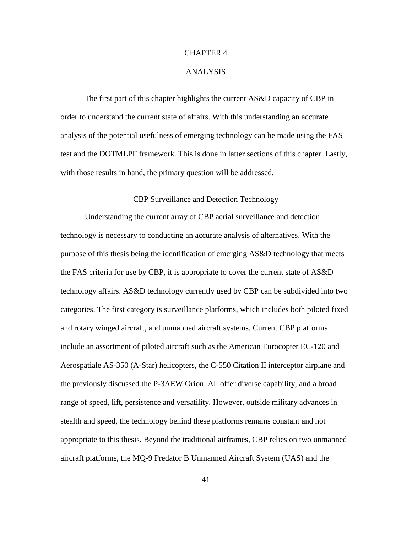# CHAPTER 4

# ANALYSIS

The first part of this chapter highlights the current AS&D capacity of CBP in order to understand the current state of affairs. With this understanding an accurate analysis of the potential usefulness of emerging technology can be made using the FAS test and the DOTMLPF framework. This is done in latter sections of this chapter. Lastly, with those results in hand, the primary question will be addressed.

#### CBP Surveillance and Detection Technology

Understanding the current array of CBP aerial surveillance and detection technology is necessary to conducting an accurate analysis of alternatives. With the purpose of this thesis being the identification of emerging AS&D technology that meets the FAS criteria for use by CBP, it is appropriate to cover the current state of AS&D technology affairs. AS&D technology currently used by CBP can be subdivided into two categories. The first category is surveillance platforms, which includes both piloted fixed and rotary winged aircraft, and unmanned aircraft systems. Current CBP platforms include an assortment of piloted aircraft such as the American Eurocopter EC-120 and Aerospatiale AS-350 (A-Star) helicopters, the C-550 Citation II interceptor airplane and the previously discussed the P-3AEW Orion. All offer diverse capability, and a broad range of speed, lift, persistence and versatility. However, outside military advances in stealth and speed, the technology behind these platforms remains constant and not appropriate to this thesis. Beyond the traditional airframes, CBP relies on two unmanned aircraft platforms, the MQ-9 Predator B Unmanned Aircraft System (UAS) and the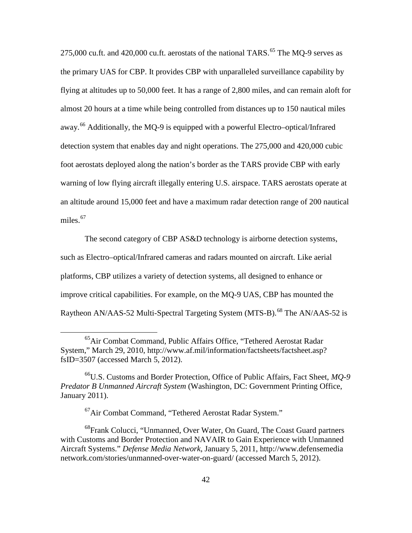275,000 cu.ft. and  $420,000$  cu.ft. aerostats of the national TARS.<sup>[65](#page-51-0)</sup> The MQ-9 serves as the primary UAS for CBP. It provides CBP with unparalleled surveillance capability by flying at altitudes up to 50,000 feet. It has a range of 2,800 miles, and can remain aloft for almost 20 hours at a time while being controlled from distances up to 150 nautical miles away.<sup>[66](#page-51-1)</sup> Additionally, the MQ-9 is equipped with a powerful Electro–optical/Infrared detection system that enables day and night operations. The 275,000 and 420,000 cubic foot aerostats deployed along the nation's border as the TARS provide CBP with early warning of low flying aircraft illegally entering U.S. airspace. TARS aerostats operate at an altitude around 15,000 feet and have a maximum radar detection range of 200 nautical miles. $67$ 

The second category of CBP AS&D technology is airborne detection systems, such as Electro–optical/Infrared cameras and radars mounted on aircraft. Like aerial platforms, CBP utilizes a variety of detection systems, all designed to enhance or improve critical capabilities. For example, on the MQ-9 UAS, CBP has mounted the Raytheon AN/AAS-52 Multi-Spectral Targeting System (MTS-B).<sup>[68](#page-51-3)</sup> The AN/AAS-52 is

67Air Combat Command, "Tethered Aerostat Radar System."

<span id="page-51-0"></span> <sup>65</sup>Air Combat Command, Public Affairs Office, "Tethered Aerostat Radar System," March 29, 2010, http://www.af.mil/information/factsheets/factsheet.asp? fsID=3507 (accessed March 5, 2012).

<span id="page-51-1"></span><sup>66</sup>U.S. Customs and Border Protection, Office of Public Affairs, Fact Sheet, *MQ-9 Predator B Unmanned Aircraft System* (Washington, DC: Government Printing Office, January 2011).

<span id="page-51-3"></span><span id="page-51-2"></span><sup>&</sup>lt;sup>68</sup>Frank Colucci, "Unmanned, Over Water, On Guard, The Coast Guard partners with Customs and Border Protection and NAVAIR to Gain Experience with Unmanned Aircraft Systems." *Defense Media Network*, January 5, 2011, http://www.defensemedia network.com/stories/unmanned-over-water-on-guard/ (accessed March 5, 2012).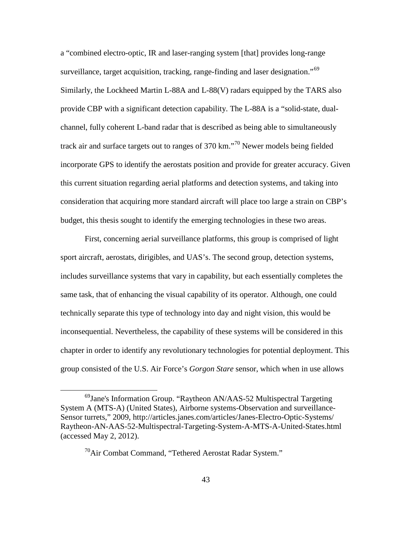a "combined electro-optic, IR and laser-ranging system [that] provides long-range surveillance, target acquisition, tracking, range-finding and laser designation."<sup>[69](#page-52-0)</sup> Similarly, the Lockheed Martin L-88A and L-88(V) radars equipped by the TARS also provide CBP with a significant detection capability. The L-88A is a "solid-state, dualchannel, fully coherent L-band radar that is described as being able to simultaneously track air and surface targets out to ranges of 370 km."[70](#page-52-1) Newer models being fielded incorporate GPS to identify the aerostats position and provide for greater accuracy. Given this current situation regarding aerial platforms and detection systems, and taking into consideration that acquiring more standard aircraft will place too large a strain on CBP's budget, this thesis sought to identify the emerging technologies in these two areas.

First, concerning aerial surveillance platforms, this group is comprised of light sport aircraft, aerostats, dirigibles, and UAS's. The second group, detection systems, includes surveillance systems that vary in capability, but each essentially completes the same task, that of enhancing the visual capability of its operator. Although, one could technically separate this type of technology into day and night vision, this would be inconsequential. Nevertheless, the capability of these systems will be considered in this chapter in order to identify any revolutionary technologies for potential deployment. This group consisted of the U.S. Air Force's *Gorgon Stare* sensor, which when in use allows

<span id="page-52-1"></span><span id="page-52-0"></span> <sup>69</sup>Jane's Information Group. "Raytheon AN/AAS-52 Multispectral Targeting System A (MTS-A) (United States), Airborne systems-Observation and surveillance-Sensor turrets," 2009, http://articles.janes.com/articles/Janes-Electro-Optic-Systems/ Raytheon-AN-AAS-52-Multispectral-Targeting-System-A-MTS-A-United-States.html (accessed May 2, 2012).

<sup>&</sup>lt;sup>70</sup>Air Combat Command, "Tethered Aerostat Radar System."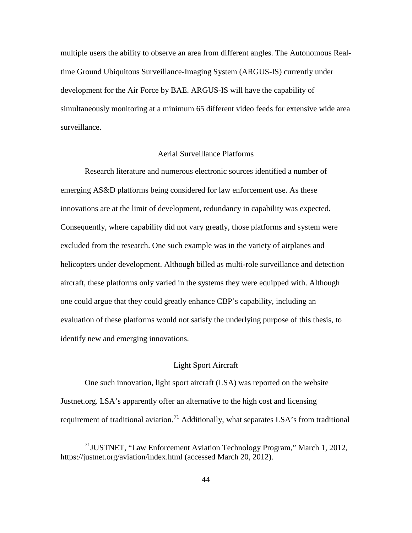multiple users the ability to observe an area from different angles. The Autonomous Realtime Ground Ubiquitous Surveillance-Imaging System (ARGUS-IS) currently under development for the Air Force by BAE. ARGUS-IS will have the capability of simultaneously monitoring at a minimum 65 different video feeds for extensive wide area surveillance.

# Aerial Surveillance Platforms

Research literature and numerous electronic sources identified a number of emerging AS&D platforms being considered for law enforcement use. As these innovations are at the limit of development, redundancy in capability was expected. Consequently, where capability did not vary greatly, those platforms and system were excluded from the research. One such example was in the variety of airplanes and helicopters under development. Although billed as multi-role surveillance and detection aircraft, these platforms only varied in the systems they were equipped with. Although one could argue that they could greatly enhance CBP's capability, including an evaluation of these platforms would not satisfy the underlying purpose of this thesis, to identify new and emerging innovations.

# Light Sport Aircraft

One such innovation, light sport aircraft (LSA) was reported on the website Justnet.org. LSA's apparently offer an alternative to the high cost and licensing requirement of traditional aviation.<sup>[71](#page-53-0)</sup> Additionally, what separates LSA's from traditional

<span id="page-53-0"></span> $171$ JUSTNET, "Law Enforcement Aviation Technology Program," March 1, 2012, https://justnet.org/aviation/index.html (accessed March 20, 2012).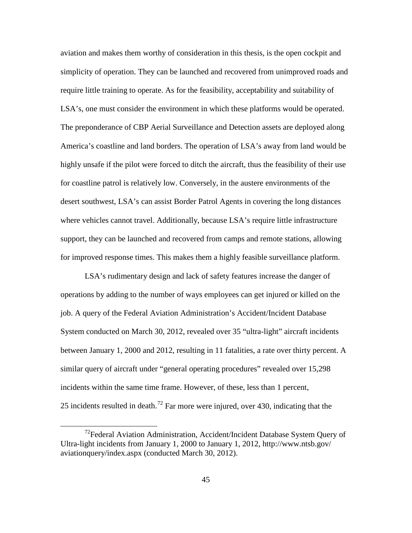aviation and makes them worthy of consideration in this thesis, is the open cockpit and simplicity of operation. They can be launched and recovered from unimproved roads and require little training to operate. As for the feasibility, acceptability and suitability of LSA's, one must consider the environment in which these platforms would be operated. The preponderance of CBP Aerial Surveillance and Detection assets are deployed along America's coastline and land borders. The operation of LSA's away from land would be highly unsafe if the pilot were forced to ditch the aircraft, thus the feasibility of their use for coastline patrol is relatively low. Conversely, in the austere environments of the desert southwest, LSA's can assist Border Patrol Agents in covering the long distances where vehicles cannot travel. Additionally, because LSA's require little infrastructure support, they can be launched and recovered from camps and remote stations, allowing for improved response times. This makes them a highly feasible surveillance platform.

LSA's rudimentary design and lack of safety features increase the danger of operations by adding to the number of ways employees can get injured or killed on the job. A query of the Federal Aviation Administration's Accident/Incident Database System conducted on March 30, 2012, revealed over 35 "ultra-light" aircraft incidents between January 1, 2000 and 2012, resulting in 11 fatalities, a rate over thirty percent. A similar query of aircraft under "general operating procedures" revealed over 15,298 incidents within the same time frame. However, of these, less than 1 percent, 25 incidents resulted in death.<sup>[72](#page-54-0)</sup> Far more were injured, over 430, indicating that the

<span id="page-54-0"></span> $172$  Federal Aviation Administration, Accident/Incident Database System Ouery of Ultra-light incidents from January 1, 2000 to January 1, 2012, http://www.ntsb.gov/ aviationquery/index.aspx (conducted March 30, 2012).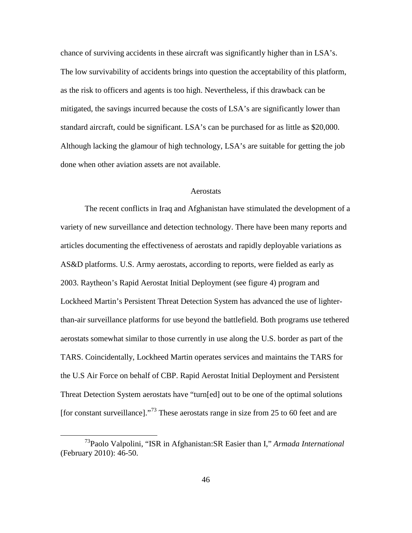chance of surviving accidents in these aircraft was significantly higher than in LSA's. The low survivability of accidents brings into question the acceptability of this platform, as the risk to officers and agents is too high. Nevertheless, if this drawback can be mitigated, the savings incurred because the costs of LSA's are significantly lower than standard aircraft, could be significant. LSA's can be purchased for as little as \$20,000. Although lacking the glamour of high technology, LSA's are suitable for getting the job done when other aviation assets are not available.

#### **Aerostats**

The recent conflicts in Iraq and Afghanistan have stimulated the development of a variety of new surveillance and detection technology. There have been many reports and articles documenting the effectiveness of aerostats and rapidly deployable variations as AS&D platforms. U.S. Army aerostats, according to reports, were fielded as early as 2003. Raytheon's Rapid Aerostat Initial Deployment (see figure 4) program and Lockheed Martin's Persistent Threat Detection System has advanced the use of lighterthan-air surveillance platforms for use beyond the battlefield. Both programs use tethered aerostats somewhat similar to those currently in use along the U.S. border as part of the TARS. Coincidentally, Lockheed Martin operates services and maintains the TARS for the U.S Air Force on behalf of CBP. Rapid Aerostat Initial Deployment and Persistent Threat Detection System aerostats have "turn[ed] out to be one of the optimal solutions [for constant surveillance]."[73](#page-55-0) These aerostats range in size from 25 to 60 feet and are

<span id="page-55-0"></span> <sup>73</sup>Paolo Valpolini, "ISR in Afghanistan:SR Easier than I," *Armada International* (February 2010): 46-50.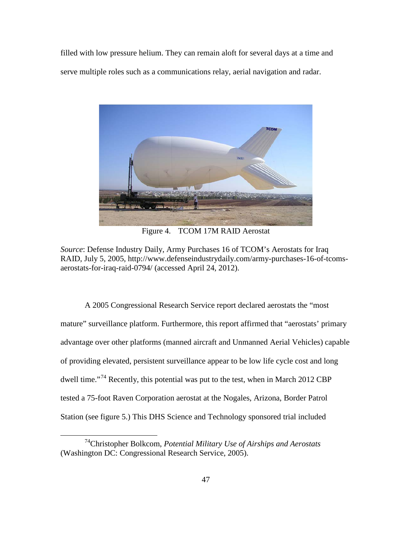filled with low pressure helium. They can remain aloft for several days at a time and serve multiple roles such as a communications relay, aerial navigation and radar.



Figure 4. TCOM 17M RAID Aerostat

*Source*: Defense Industry Daily, Army Purchases 16 of TCOM's Aerostats for Iraq RAID, July 5, 2005, http://www.defenseindustrydaily.com/army-purchases-16-of-tcomsaerostats-for-iraq-raid-0794/ (accessed April 24, 2012).

A 2005 Congressional Research Service report declared aerostats the "most mature" surveillance platform. Furthermore, this report affirmed that "aerostats' primary advantage over other platforms (manned aircraft and Unmanned Aerial Vehicles) capable of providing elevated, persistent surveillance appear to be low life cycle cost and long dwell time."<sup>[74](#page-56-0)</sup> Recently, this potential was put to the test, when in March 2012 CBP tested a 75-foot Raven Corporation aerostat at the Nogales, Arizona, Border Patrol Station (see figure 5.) This DHS Science and Technology sponsored trial included

<span id="page-56-0"></span> <sup>74</sup>Christopher Bolkcom, *Potential Military Use of Airships and Aerostats* (Washington DC: Congressional Research Service, 2005).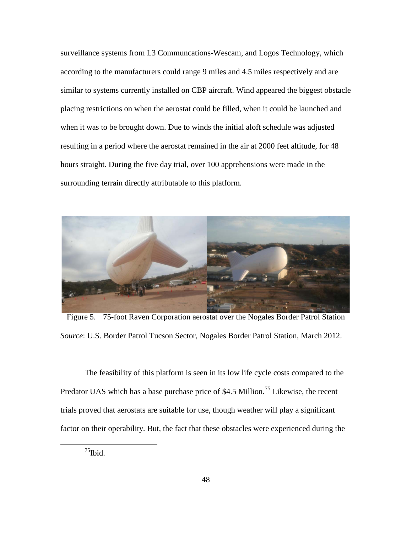surveillance systems from L3 Communcations-Wescam, and Logos Technology, which according to the manufacturers could range 9 miles and 4.5 miles respectively and are similar to systems currently installed on CBP aircraft. Wind appeared the biggest obstacle placing restrictions on when the aerostat could be filled, when it could be launched and when it was to be brought down. Due to winds the initial aloft schedule was adjusted resulting in a period where the aerostat remained in the air at 2000 feet altitude, for 48 hours straight. During the five day trial, over 100 apprehensions were made in the surrounding terrain directly attributable to this platform.



Figure 5. 75-foot Raven Corporation aerostat over the Nogales Border Patrol Station *Source*: U.S. Border Patrol Tucson Sector, Nogales Border Patrol Station, March 2012.

The feasibility of this platform is seen in its low life cycle costs compared to the Predator UAS which has a base purchase price of \$4.5 Million.<sup>[75](#page-57-0)</sup> Likewise, the recent trials proved that aerostats are suitable for use, though weather will play a significant factor on their operability. But, the fact that these obstacles were experienced during the

<span id="page-57-0"></span> $75$ Ibid.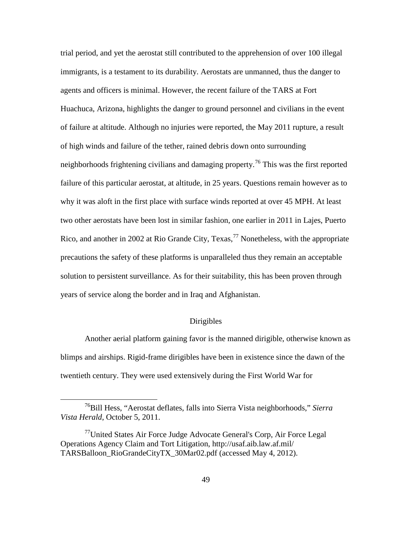trial period, and yet the aerostat still contributed to the apprehension of over 100 illegal immigrants, is a testament to its durability. Aerostats are unmanned, thus the danger to agents and officers is minimal. However, the recent failure of the TARS at Fort Huachuca, Arizona, highlights the danger to ground personnel and civilians in the event of failure at altitude. Although no injuries were reported, the May 2011 rupture, a result of high winds and failure of the tether, rained debris down onto surrounding neighborhoods frightening civilians and damaging property.<sup>[76](#page-58-0)</sup> This was the first reported failure of this particular aerostat, at altitude, in 25 years. Questions remain however as to why it was aloft in the first place with surface winds reported at over 45 MPH. At least two other aerostats have been lost in similar fashion, one earlier in 2011 in Lajes, Puerto Rico, and another in 2002 at Rio Grande City, Texas,  $^{77}$  $^{77}$  $^{77}$  Nonetheless, with the appropriate precautions the safety of these platforms is unparalleled thus they remain an acceptable solution to persistent surveillance. As for their suitability, this has been proven through years of service along the border and in Iraq and Afghanistan.

### Dirigibles

Another aerial platform gaining favor is the manned dirigible, otherwise known as blimps and airships. Rigid-frame dirigibles have been in existence since the dawn of the twentieth century. They were used extensively during the First World War for

<span id="page-58-0"></span> <sup>76</sup>Bill Hess, "Aerostat deflates, falls into Sierra Vista neighborhoods," *Sierra Vista Herald*, October 5, 2011.

<span id="page-58-1"></span><sup>&</sup>lt;sup>77</sup>United States Air Force Judge Advocate General's Corp, Air Force Legal Operations Agency Claim and Tort Litigation, http://usaf.aib.law.af.mil/ TARSBalloon\_RioGrandeCityTX\_30Mar02.pdf (accessed May 4, 2012).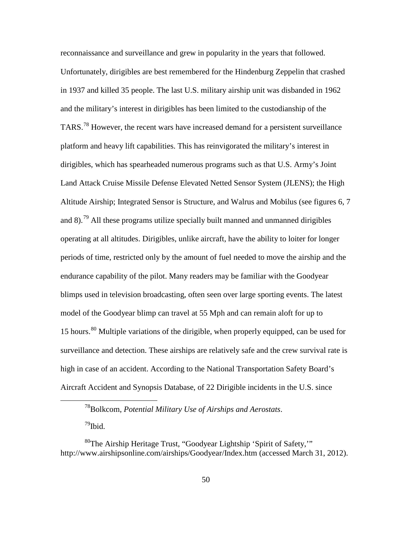reconnaissance and surveillance and grew in popularity in the years that followed. Unfortunately, dirigibles are best remembered for the Hindenburg Zeppelin that crashed in 1937 and killed 35 people. The last U.S. military airship unit was disbanded in 1962 and the military's interest in dirigibles has been limited to the custodianship of the TARS.[78](#page-59-0) However, the recent wars have increased demand for a persistent surveillance platform and heavy lift capabilities. This has reinvigorated the military's interest in dirigibles, which has spearheaded numerous programs such as that U.S. Army's Joint Land Attack Cruise Missile Defense Elevated Netted Sensor System (JLENS); the High Altitude Airship; Integrated Sensor is Structure, and Walrus and Mobilus (see figures 6, 7 and 8).<sup>[79](#page-59-1)</sup> All these programs utilize specially built manned and unmanned dirigibles operating at all altitudes. Dirigibles, unlike aircraft, have the ability to loiter for longer periods of time, restricted only by the amount of fuel needed to move the airship and the endurance capability of the pilot. Many readers may be familiar with the Goodyear blimps used in television broadcasting, often seen over large sporting events. The latest model of the Goodyear blimp can travel at 55 Mph and can remain aloft for up to 15 hours.<sup>[80](#page-59-2)</sup> Multiple variations of the dirigible, when properly equipped, can be used for surveillance and detection. These airships are relatively safe and the crew survival rate is high in case of an accident. According to the National Transportation Safety Board's Aircraft Accident and Synopsis Database, of 22 Dirigible incidents in the U.S. since

78Bolkcom, *Potential Military Use of Airships and Aerostats*.

 $79$ Ibid.

<span id="page-59-2"></span><span id="page-59-1"></span><span id="page-59-0"></span><sup>80</sup>The Airship Heritage Trust, "Goodyear Lightship 'Spirit of Safety,'" http://www.airshipsonline.com/airships/Goodyear/Index.htm (accessed March 31, 2012).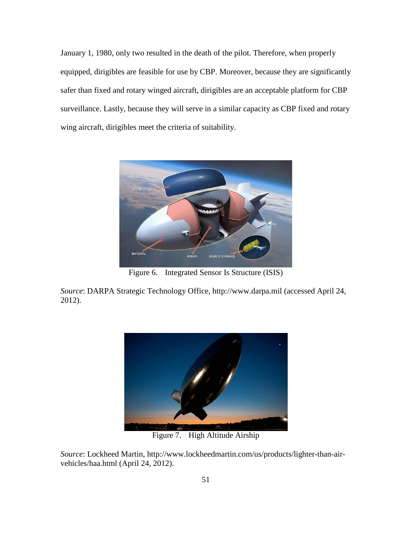January 1, 1980, only two resulted in the death of the pilot. Therefore, when properly equipped, dirigibles are feasible for use by CBP. Moreover, because they are significantly safer than fixed and rotary winged aircraft, dirigibles are an acceptable platform for CBP surveillance. Lastly, because they will serve in a similar capacity as CBP fixed and rotary wing aircraft, dirigibles meet the criteria of suitability.



Figure 6. Integrated Sensor Is Structure (ISIS)

*Source*: DARPA Strategic Technology Office, http://www.darpa.mil (accessed April 24, 2012).



Figure 7. High Altitude Airship

*Source*: Lockheed Martin, http://www.lockheedmartin.com/us/products/lighter-than-airvehicles/haa.html (April 24, 2012).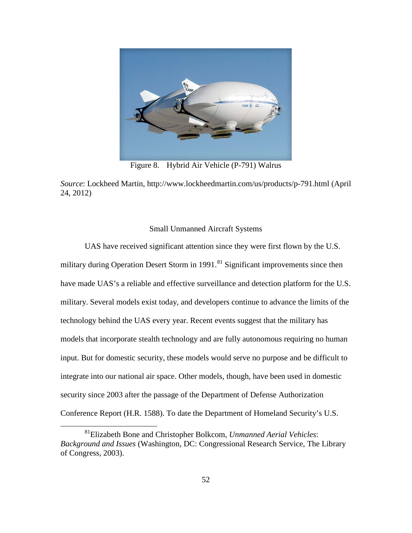

Figure 8. Hybrid Air Vehicle (P-791) Walrus

# Small Unmanned Aircraft Systems

UAS have received significant attention since they were first flown by the U.S. military during Operation Desert Storm in 1991.<sup>[81](#page-61-0)</sup> Significant improvements since then have made UAS's a reliable and effective surveillance and detection platform for the U.S. military. Several models exist today, and developers continue to advance the limits of the technology behind the UAS every year. Recent events suggest that the military has models that incorporate stealth technology and are fully autonomous requiring no human input. But for domestic security, these models would serve no purpose and be difficult to integrate into our national air space. Other models, though, have been used in domestic security since 2003 after the passage of the Department of Defense Authorization Conference Report (H.R. 1588). To date the Department of Homeland Security's U.S.

*Source*: Lockheed Martin, http://www.lockheedmartin.com/us/products/p-791.html (April 24, 2012)

<span id="page-61-0"></span> <sup>81</sup>Elizabeth Bone and Christopher Bolkcom, *Unmanned Aerial Vehicles*: *Background and Issues* (Washington, DC: Congressional Research Service, The Library of Congress, 2003).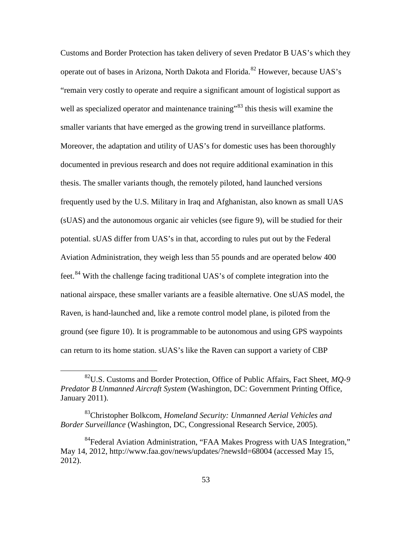Customs and Border Protection has taken delivery of seven Predator B UAS's which they operate out of bases in Arizona, North Dakota and Florida.<sup>[82](#page-62-0)</sup> However, because UAS's "remain very costly to operate and require a significant amount of logistical support as well as specialized operator and maintenance training"<sup>[83](#page-62-1)</sup> this thesis will examine the smaller variants that have emerged as the growing trend in surveillance platforms. Moreover, the adaptation and utility of UAS's for domestic uses has been thoroughly documented in previous research and does not require additional examination in this thesis. The smaller variants though, the remotely piloted, hand launched versions frequently used by the U.S. Military in Iraq and Afghanistan, also known as small UAS (sUAS) and the autonomous organic air vehicles (see figure 9), will be studied for their potential. sUAS differ from UAS's in that, according to rules put out by the Federal Aviation Administration, they weigh less than 55 pounds and are operated below 400 feet.<sup>[84](#page-62-2)</sup> With the challenge facing traditional UAS's of complete integration into the national airspace, these smaller variants are a feasible alternative. One sUAS model, the Raven, is hand-launched and, like a remote control model plane, is piloted from the ground (see figure 10). It is programmable to be autonomous and using GPS waypoints can return to its home station. sUAS's like the Raven can support a variety of CBP

<span id="page-62-0"></span> <sup>82</sup>U.S. Customs and Border Protection, Office of Public Affairs, Fact Sheet, *MQ-9 Predator B Unmanned Aircraft System* (Washington, DC: Government Printing Office, January 2011).

<span id="page-62-1"></span><sup>83</sup>Christopher Bolkcom, *Homeland Security: Unmanned Aerial Vehicles and Border Surveillance* (Washington, DC, Congressional Research Service, 2005).

<span id="page-62-2"></span><sup>&</sup>lt;sup>84</sup>Federal Aviation Administration, "FAA Makes Progress with UAS Integration," May 14, 2012, http://www.faa.gov/news/updates/?newsId=68004 (accessed May 15, 2012).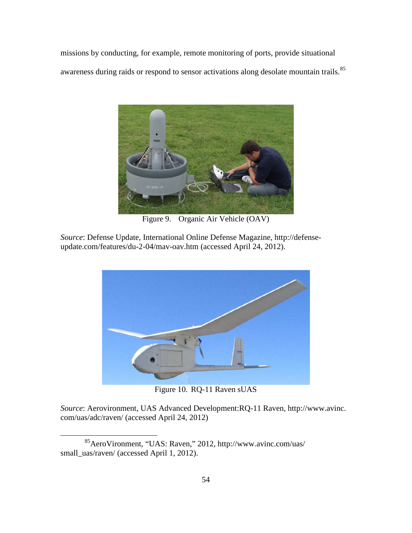missions by conducting, for example, remote monitoring of ports, provide situational awareness during raids or respond to sensor activations along desolate mountain trails.<sup>[85](#page-63-0)</sup>



Figure 9. Organic Air Vehicle (OAV)

*Source*: Defense Update, International Online Defense Magazine, http://defenseupdate.com/features/du-2-04/mav-oav.htm (accessed April 24, 2012).



Figure 10. RQ-11 Raven sUAS

*Source*: Aerovironment, UAS Advanced Development:RQ-11 Raven, http://www.avinc. com/uas/adc/raven/ (accessed April 24, 2012)

<span id="page-63-0"></span> <sup>85</sup>AeroVironment, "UAS: Raven," 2012, http://www.avinc.com/uas/ small\_uas/raven/ (accessed April 1, 2012).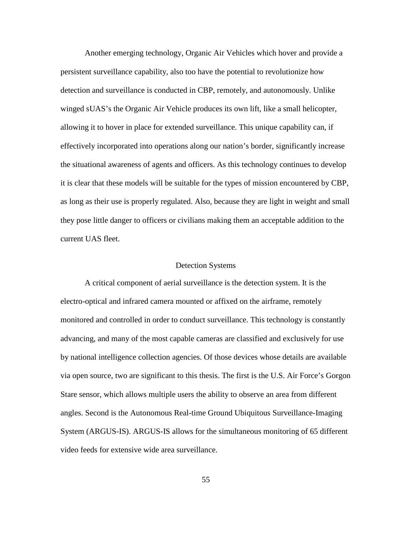Another emerging technology, Organic Air Vehicles which hover and provide a persistent surveillance capability, also too have the potential to revolutionize how detection and surveillance is conducted in CBP, remotely, and autonomously. Unlike winged sUAS's the Organic Air Vehicle produces its own lift, like a small helicopter, allowing it to hover in place for extended surveillance. This unique capability can, if effectively incorporated into operations along our nation's border, significantly increase the situational awareness of agents and officers. As this technology continues to develop it is clear that these models will be suitable for the types of mission encountered by CBP, as long as their use is properly regulated. Also, because they are light in weight and small they pose little danger to officers or civilians making them an acceptable addition to the current UAS fleet.

#### Detection Systems

A critical component of aerial surveillance is the detection system. It is the electro-optical and infrared camera mounted or affixed on the airframe, remotely monitored and controlled in order to conduct surveillance. This technology is constantly advancing, and many of the most capable cameras are classified and exclusively for use by national intelligence collection agencies. Of those devices whose details are available via open source, two are significant to this thesis. The first is the U.S. Air Force's Gorgon Stare sensor, which allows multiple users the ability to observe an area from different angles. Second is the Autonomous Real-time Ground Ubiquitous Surveillance-Imaging System (ARGUS-IS). ARGUS-IS allows for the simultaneous monitoring of 65 different video feeds for extensive wide area surveillance.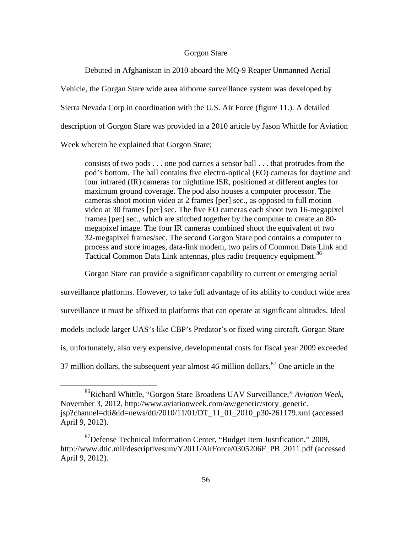# Gorgon Stare

Debuted in Afghanistan in 2010 aboard the MQ-9 Reaper Unmanned Aerial Vehicle, the Gorgan Stare wide area airborne surveillance system was developed by Sierra Nevada Corp in coordination with the U.S. Air Force (figure 11.). A detailed description of Gorgon Stare was provided in a 2010 article by Jason Whittle for Aviation Week wherein he explained that Gorgon Stare;

consists of two pods . . . one pod carries a sensor ball . . . that protrudes from the pod's bottom. The ball contains five electro-optical (EO) cameras for daytime and four infrared (IR) cameras for nighttime ISR, positioned at different angles for maximum ground coverage. The pod also houses a computer processor. The cameras shoot motion video at 2 frames [per] sec., as opposed to full motion video at 30 frames [per] sec. The five EO cameras each shoot two 16-megapixel frames [per] sec., which are stitched together by the computer to create an 80 megapixel image. The four IR cameras combined shoot the equivalent of two 32-megapixel frames/sec. The second Gorgon Stare pod contains a computer to process and store images, data-link modem, two pairs of Common Data Link and Tactical Common Data Link antennas, plus radio frequency equipment. [86](#page-65-0)

Gorgan Stare can provide a significant capability to current or emerging aerial surveillance platforms. However, to take full advantage of its ability to conduct wide area surveillance it must be affixed to platforms that can operate at significant altitudes. Ideal models include larger UAS's like CBP's Predator's or fixed wing aircraft. Gorgan Stare is, unfortunately, also very expensive, developmental costs for fiscal year 2009 exceeded 37 million dollars, the subsequent year almost 46 million dollars. $87$  One article in the

<span id="page-65-0"></span> <sup>86</sup>Richard Whittle, "Gorgon Stare Broadens UAV Surveillance," *Aviation Week*, November 3, 2012, http://www.aviationweek.com/aw/generic/story\_generic. jsp?channel=dti&id=news/dti/2010/11/01/DT\_11\_01\_2010\_p30-261179.xml (accessed April 9, 2012).

<span id="page-65-1"></span><sup>&</sup>lt;sup>87</sup>Defense Technical Information Center, "Budget Item Justification," 2009, http://www.dtic.mil/descriptivesum/Y2011/AirForce/0305206F\_PB\_2011.pdf (accessed April 9, 2012).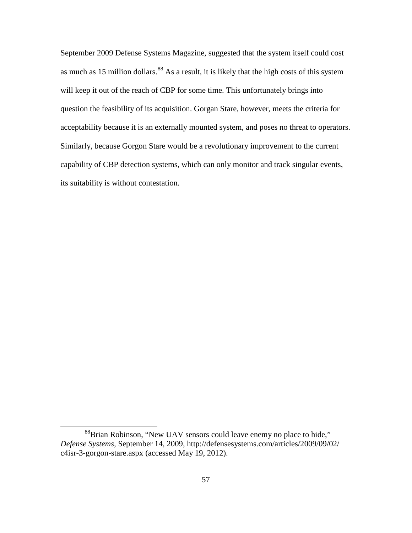September 2009 Defense Systems Magazine, suggested that the system itself could cost as much as 15 million dollars.<sup>[88](#page-66-0)</sup> As a result, it is likely that the high costs of this system will keep it out of the reach of CBP for some time. This unfortunately brings into question the feasibility of its acquisition. Gorgan Stare, however, meets the criteria for acceptability because it is an externally mounted system, and poses no threat to operators. Similarly, because Gorgon Stare would be a revolutionary improvement to the current capability of CBP detection systems, which can only monitor and track singular events, its suitability is without contestation.

<span id="page-66-0"></span><sup>&</sup>lt;sup>88</sup>Brian Robinson, "New UAV sensors could leave enemy no place to hide," *Defense Systems,* September 14, 2009, http://defensesystems.com/articles/2009/09/02/ c4isr-3-gorgon-stare.aspx (accessed May 19, 2012).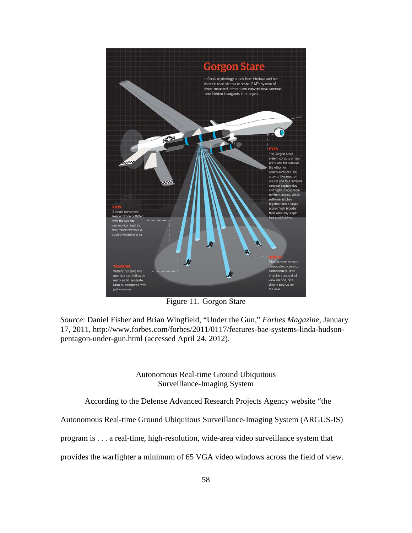

Figure 11. Gorgon Stare

*Source*: Daniel Fisher and Brian Wingfield, "Under the Gun," *Forbes Magazine*, January 17, 2011, http://www.forbes.com/forbes/2011/0117/features-bae-systems-linda-hudsonpentagon-under-gun.html (accessed April 24, 2012).

> Autonomous Real-time Ground Ubiquitous Surveillance-Imaging System

According to the Defense Advanced Research Projects Agency website "the

Autonomous Real-time Ground Ubiquitous Surveillance-Imaging System (ARGUS-IS)

program is . . . a real-time, high-resolution, wide-area video surveillance system that

provides the warfighter a minimum of 65 VGA video windows across the field of view.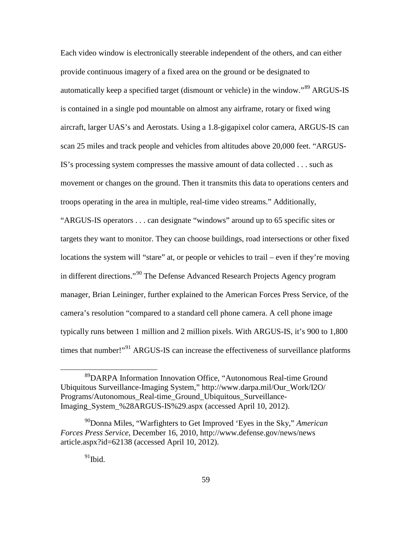Each video window is electronically steerable independent of the others, and can either provide continuous imagery of a fixed area on the ground or be designated to automatically keep a specified target (dismount or vehicle) in the window."<sup>[89](#page-68-0)</sup> ARGUS-IS is contained in a single pod mountable on almost any airframe, rotary or fixed wing aircraft, larger UAS's and Aerostats. Using a 1.8-gigapixel color camera, ARGUS-IS can scan 25 miles and track people and vehicles from altitudes above 20,000 feet. "ARGUS-IS's processing system compresses the massive amount of data collected . . . such as movement or changes on the ground. Then it transmits this data to operations centers and troops operating in the area in multiple, real-time video streams." Additionally,

"ARGUS-IS operators . . . can designate "windows" around up to 65 specific sites or targets they want to monitor. They can choose buildings, road intersections or other fixed locations the system will "stare" at, or people or vehicles to trail – even if they're moving in different directions."[90](#page-68-1) The Defense Advanced Research Projects Agency program manager, Brian Leininger, further explained to the American Forces Press Service, of the camera's resolution "compared to a standard cell phone camera. A cell phone image typically runs between 1 million and 2 million pixels. With ARGUS-IS, it's 900 to 1,800 times that number!"<sup>[91](#page-68-2)</sup> ARGUS-IS can increase the effectiveness of surveillance platforms

<span id="page-68-0"></span> <sup>89</sup>DARPA Information Innovation Office, "Autonomous Real-time Ground Ubiquitous Surveillance-Imaging System," http://www.darpa.mil/Our\_Work/I2O/ Programs/Autonomous\_Real-time\_Ground\_Ubiquitous\_Surveillance-Imaging\_System\_%28ARGUS-IS%29.aspx (accessed April 10, 2012).

<span id="page-68-2"></span><span id="page-68-1"></span><sup>90</sup>Donna Miles, "Warfighters to Get Improved 'Eyes in the Sky," *American Forces Press Service*, December 16, 2010, http://www.defense.gov/news/news article.aspx?id=62138 (accessed April 10, 2012).

 $91$ Ibid.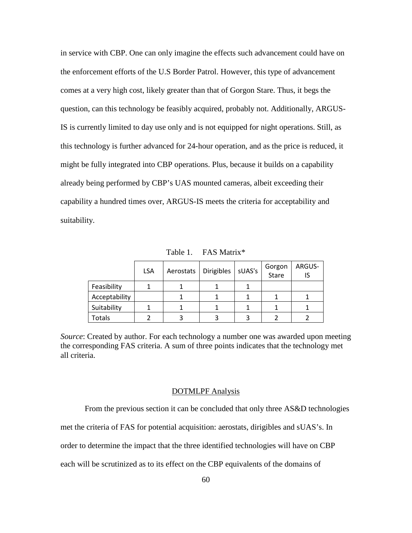in service with CBP. One can only imagine the effects such advancement could have on the enforcement efforts of the U.S Border Patrol. However, this type of advancement comes at a very high cost, likely greater than that of Gorgon Stare. Thus, it begs the question, can this technology be feasibly acquired, probably not. Additionally, ARGUS-IS is currently limited to day use only and is not equipped for night operations. Still, as this technology is further advanced for 24-hour operation, and as the price is reduced, it might be fully integrated into CBP operations. Plus, because it builds on a capability already being performed by CBP's UAS mounted cameras, albeit exceeding their capability a hundred times over, ARGUS-IS meets the criteria for acceptability and suitability.

Table 1. FAS Matrix\*

|               | <b>LSA</b> | Aerostats | <b>Dirigibles</b> | sUAS's | Gorgon<br>Stare | ARGUS- |
|---------------|------------|-----------|-------------------|--------|-----------------|--------|
| Feasibility   |            |           |                   |        |                 |        |
| Acceptability |            |           |                   |        |                 |        |
| Suitability   |            |           |                   |        |                 |        |
| Totals        |            |           |                   |        |                 |        |

*Source*: Created by author. For each technology a number one was awarded upon meeting the corresponding FAS criteria. A sum of three points indicates that the technology met all criteria.

#### DOTMLPF Analysis

From the previous section it can be concluded that only three AS&D technologies met the criteria of FAS for potential acquisition: aerostats, dirigibles and sUAS's. In order to determine the impact that the three identified technologies will have on CBP each will be scrutinized as to its effect on the CBP equivalents of the domains of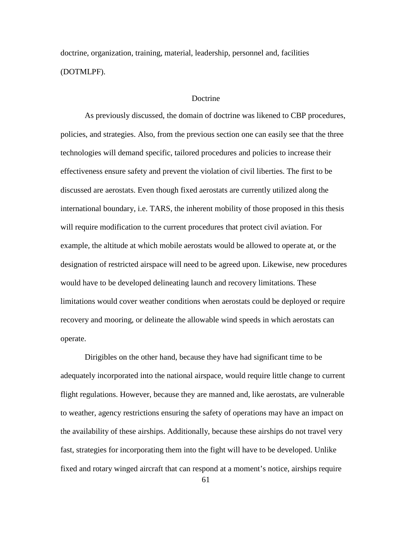doctrine, organization, training, material, leadership, personnel and, facilities (DOTMLPF).

#### Doctrine

As previously discussed, the domain of doctrine was likened to CBP procedures, policies, and strategies. Also, from the previous section one can easily see that the three technologies will demand specific, tailored procedures and policies to increase their effectiveness ensure safety and prevent the violation of civil liberties. The first to be discussed are aerostats. Even though fixed aerostats are currently utilized along the international boundary, i.e. TARS, the inherent mobility of those proposed in this thesis will require modification to the current procedures that protect civil aviation. For example, the altitude at which mobile aerostats would be allowed to operate at, or the designation of restricted airspace will need to be agreed upon. Likewise, new procedures would have to be developed delineating launch and recovery limitations. These limitations would cover weather conditions when aerostats could be deployed or require recovery and mooring, or delineate the allowable wind speeds in which aerostats can operate.

Dirigibles on the other hand, because they have had significant time to be adequately incorporated into the national airspace, would require little change to current flight regulations. However, because they are manned and, like aerostats, are vulnerable to weather, agency restrictions ensuring the safety of operations may have an impact on the availability of these airships. Additionally, because these airships do not travel very fast, strategies for incorporating them into the fight will have to be developed. Unlike fixed and rotary winged aircraft that can respond at a moment's notice, airships require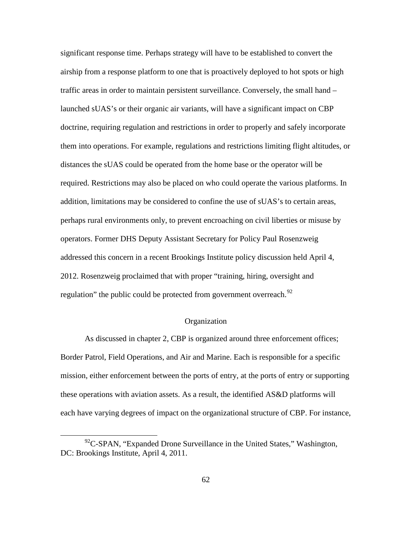significant response time. Perhaps strategy will have to be established to convert the airship from a response platform to one that is proactively deployed to hot spots or high traffic areas in order to maintain persistent surveillance. Conversely, the small hand – launched sUAS's or their organic air variants, will have a significant impact on CBP doctrine, requiring regulation and restrictions in order to properly and safely incorporate them into operations. For example, regulations and restrictions limiting flight altitudes, or distances the sUAS could be operated from the home base or the operator will be required. Restrictions may also be placed on who could operate the various platforms. In addition, limitations may be considered to confine the use of sUAS's to certain areas, perhaps rural environments only, to prevent encroaching on civil liberties or misuse by operators. Former DHS Deputy Assistant Secretary for Policy Paul Rosenzweig addressed this concern in a recent Brookings Institute policy discussion held April 4, 2012. Rosenzweig proclaimed that with proper "training, hiring, oversight and regulation" the public could be protected from government overreach.<sup>[92](#page-71-0)</sup>

### Organization

As discussed in chapter 2, CBP is organized around three enforcement offices; Border Patrol, Field Operations, and Air and Marine. Each is responsible for a specific mission, either enforcement between the ports of entry, at the ports of entry or supporting these operations with aviation assets. As a result, the identified AS&D platforms will each have varying degrees of impact on the organizational structure of CBP. For instance,

<span id="page-71-0"></span> $92^{\circ}$ C-SPAN, "Expanded Drone Surveillance in the United States," Washington, DC: Brookings Institute, April 4, 2011.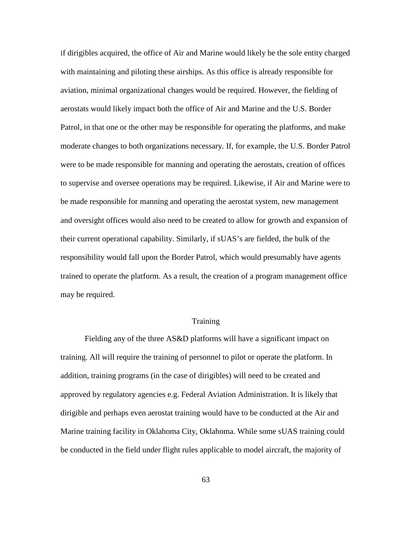if dirigibles acquired, the office of Air and Marine would likely be the sole entity charged with maintaining and piloting these airships. As this office is already responsible for aviation, minimal organizational changes would be required. However, the fielding of aerostats would likely impact both the office of Air and Marine and the U.S. Border Patrol, in that one or the other may be responsible for operating the platforms, and make moderate changes to both organizations necessary. If, for example, the U.S. Border Patrol were to be made responsible for manning and operating the aerostats, creation of offices to supervise and oversee operations may be required. Likewise, if Air and Marine were to be made responsible for manning and operating the aerostat system, new management and oversight offices would also need to be created to allow for growth and expansion of their current operational capability. Similarly, if sUAS's are fielded, the bulk of the responsibility would fall upon the Border Patrol, which would presumably have agents trained to operate the platform. As a result, the creation of a program management office may be required.

# Training

Fielding any of the three AS&D platforms will have a significant impact on training. All will require the training of personnel to pilot or operate the platform. In addition, training programs (in the case of dirigibles) will need to be created and approved by regulatory agencies e.g. Federal Aviation Administration. It is likely that dirigible and perhaps even aerostat training would have to be conducted at the Air and Marine training facility in Oklahoma City, Oklahoma. While some sUAS training could be conducted in the field under flight rules applicable to model aircraft, the majority of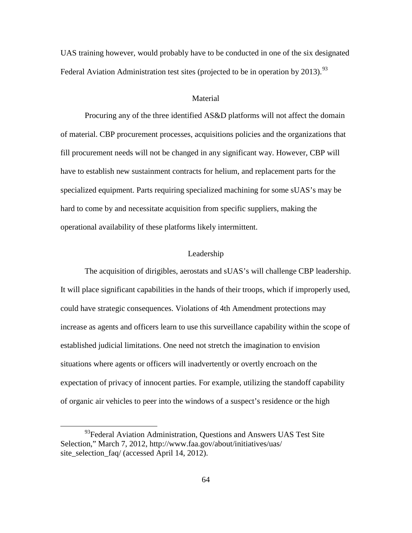UAS training however, would probably have to be conducted in one of the six designated Federal Aviation Administration test sites (projected to be in operation by  $2013$ ).<sup>[93](#page-73-0)</sup>

#### **Material**

Procuring any of the three identified AS&D platforms will not affect the domain of material. CBP procurement processes, acquisitions policies and the organizations that fill procurement needs will not be changed in any significant way. However, CBP will have to establish new sustainment contracts for helium, and replacement parts for the specialized equipment. Parts requiring specialized machining for some sUAS's may be hard to come by and necessitate acquisition from specific suppliers, making the operational availability of these platforms likely intermittent.

# Leadership

The acquisition of dirigibles, aerostats and sUAS's will challenge CBP leadership. It will place significant capabilities in the hands of their troops, which if improperly used, could have strategic consequences. Violations of 4th Amendment protections may increase as agents and officers learn to use this surveillance capability within the scope of established judicial limitations. One need not stretch the imagination to envision situations where agents or officers will inadvertently or overtly encroach on the expectation of privacy of innocent parties. For example, utilizing the standoff capability of organic air vehicles to peer into the windows of a suspect's residence or the high

<span id="page-73-0"></span> $93$ Federal Aviation Administration, Questions and Answers UAS Test Site Selection," March 7, 2012, http://www.faa.gov/about/initiatives/uas/ site\_selection\_faq/ (accessed April 14, 2012).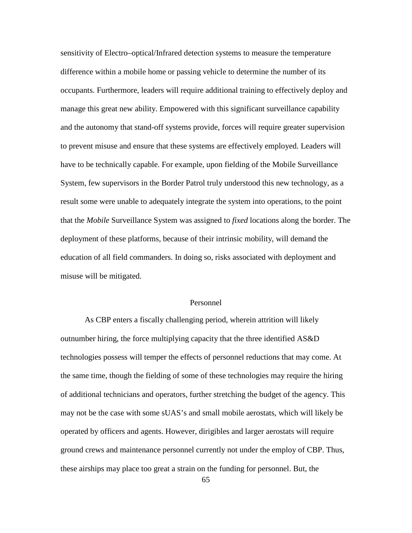sensitivity of Electro–optical/Infrared detection systems to measure the temperature difference within a mobile home or passing vehicle to determine the number of its occupants. Furthermore, leaders will require additional training to effectively deploy and manage this great new ability. Empowered with this significant surveillance capability and the autonomy that stand-off systems provide, forces will require greater supervision to prevent misuse and ensure that these systems are effectively employed. Leaders will have to be technically capable. For example, upon fielding of the Mobile Surveillance System, few supervisors in the Border Patrol truly understood this new technology, as a result some were unable to adequately integrate the system into operations, to the point that the *Mobile* Surveillance System was assigned to *fixed* locations along the border. The deployment of these platforms, because of their intrinsic mobility, will demand the education of all field commanders. In doing so, risks associated with deployment and misuse will be mitigated.

### Personnel

As CBP enters a fiscally challenging period, wherein attrition will likely outnumber hiring, the force multiplying capacity that the three identified AS&D technologies possess will temper the effects of personnel reductions that may come. At the same time, though the fielding of some of these technologies may require the hiring of additional technicians and operators, further stretching the budget of the agency. This may not be the case with some sUAS's and small mobile aerostats, which will likely be operated by officers and agents. However, dirigibles and larger aerostats will require ground crews and maintenance personnel currently not under the employ of CBP. Thus, these airships may place too great a strain on the funding for personnel. But, the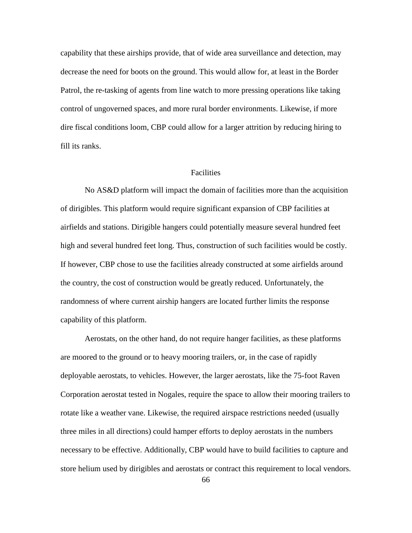capability that these airships provide, that of wide area surveillance and detection, may decrease the need for boots on the ground. This would allow for, at least in the Border Patrol, the re-tasking of agents from line watch to more pressing operations like taking control of ungoverned spaces, and more rural border environments. Likewise, if more dire fiscal conditions loom, CBP could allow for a larger attrition by reducing hiring to fill its ranks.

### Facilities

No AS&D platform will impact the domain of facilities more than the acquisition of dirigibles. This platform would require significant expansion of CBP facilities at airfields and stations. Dirigible hangers could potentially measure several hundred feet high and several hundred feet long. Thus, construction of such facilities would be costly. If however, CBP chose to use the facilities already constructed at some airfields around the country, the cost of construction would be greatly reduced. Unfortunately, the randomness of where current airship hangers are located further limits the response capability of this platform.

Aerostats, on the other hand, do not require hanger facilities, as these platforms are moored to the ground or to heavy mooring trailers, or, in the case of rapidly deployable aerostats, to vehicles. However, the larger aerostats, like the 75-foot Raven Corporation aerostat tested in Nogales, require the space to allow their mooring trailers to rotate like a weather vane. Likewise, the required airspace restrictions needed (usually three miles in all directions) could hamper efforts to deploy aerostats in the numbers necessary to be effective. Additionally, CBP would have to build facilities to capture and store helium used by dirigibles and aerostats or contract this requirement to local vendors.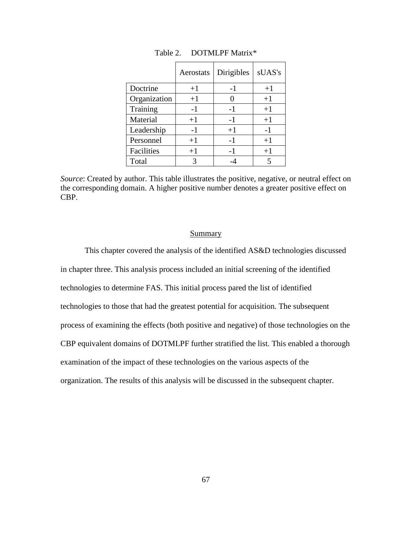|              | Aerostats | Dirigibles | sUAS's |
|--------------|-----------|------------|--------|
| Doctrine     | $+1$      | $-1$       | $+1$   |
| Organization | $+1$      |            | $+1$   |
| Training     | $-1$      | $-1$       | $+1$   |
| Material     | $+1$      | $-1$       | $+1$   |
| Leadership   | $-1$      | $+1$       | $-1$   |
| Personnel    | $+1$      | $-1$       | $+1$   |
| Facilities   | $+1$      | $-1$       | $+1$   |
| Total        | 3         |            | 5      |

Table 2. DOTMLPF Matrix\*

*Source*: Created by author. This table illustrates the positive, negative, or neutral effect on the corresponding domain. A higher positive number denotes a greater positive effect on CBP.

#### **Summary**

This chapter covered the analysis of the identified AS&D technologies discussed in chapter three. This analysis process included an initial screening of the identified technologies to determine FAS. This initial process pared the list of identified technologies to those that had the greatest potential for acquisition. The subsequent process of examining the effects (both positive and negative) of those technologies on the CBP equivalent domains of DOTMLPF further stratified the list. This enabled a thorough examination of the impact of these technologies on the various aspects of the organization. The results of this analysis will be discussed in the subsequent chapter.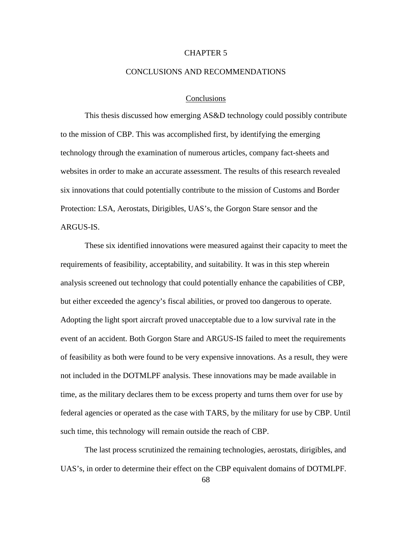### CHAPTER 5

### CONCLUSIONS AND RECOMMENDATIONS

#### **Conclusions**

This thesis discussed how emerging AS&D technology could possibly contribute to the mission of CBP. This was accomplished first, by identifying the emerging technology through the examination of numerous articles, company fact-sheets and websites in order to make an accurate assessment. The results of this research revealed six innovations that could potentially contribute to the mission of Customs and Border Protection: LSA, Aerostats, Dirigibles, UAS's, the Gorgon Stare sensor and the ARGUS-IS.

These six identified innovations were measured against their capacity to meet the requirements of feasibility, acceptability, and suitability. It was in this step wherein analysis screened out technology that could potentially enhance the capabilities of CBP, but either exceeded the agency's fiscal abilities, or proved too dangerous to operate. Adopting the light sport aircraft proved unacceptable due to a low survival rate in the event of an accident. Both Gorgon Stare and ARGUS-IS failed to meet the requirements of feasibility as both were found to be very expensive innovations. As a result, they were not included in the DOTMLPF analysis. These innovations may be made available in time, as the military declares them to be excess property and turns them over for use by federal agencies or operated as the case with TARS, by the military for use by CBP. Until such time, this technology will remain outside the reach of CBP.

The last process scrutinized the remaining technologies, aerostats, dirigibles, and UAS's, in order to determine their effect on the CBP equivalent domains of DOTMLPF.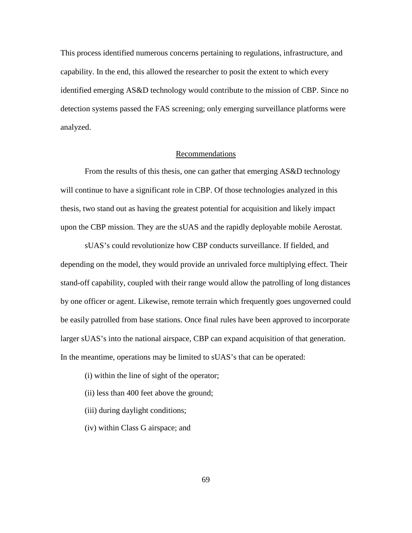This process identified numerous concerns pertaining to regulations, infrastructure, and capability. In the end, this allowed the researcher to posit the extent to which every identified emerging AS&D technology would contribute to the mission of CBP. Since no detection systems passed the FAS screening; only emerging surveillance platforms were analyzed.

# Recommendations

From the results of this thesis, one can gather that emerging AS&D technology will continue to have a significant role in CBP. Of those technologies analyzed in this thesis, two stand out as having the greatest potential for acquisition and likely impact upon the CBP mission. They are the sUAS and the rapidly deployable mobile Aerostat.

sUAS's could revolutionize how CBP conducts surveillance. If fielded, and depending on the model, they would provide an unrivaled force multiplying effect. Their stand-off capability, coupled with their range would allow the patrolling of long distances by one officer or agent. Likewise, remote terrain which frequently goes ungoverned could be easily patrolled from base stations. Once final rules have been approved to incorporate larger sUAS's into the national airspace, CBP can expand acquisition of that generation. In the meantime, operations may be limited to sUAS's that can be operated:

- (i) within the line of sight of the operator;
- (ii) less than 400 feet above the ground;
- (iii) during daylight conditions;
- (iv) within Class G airspace; and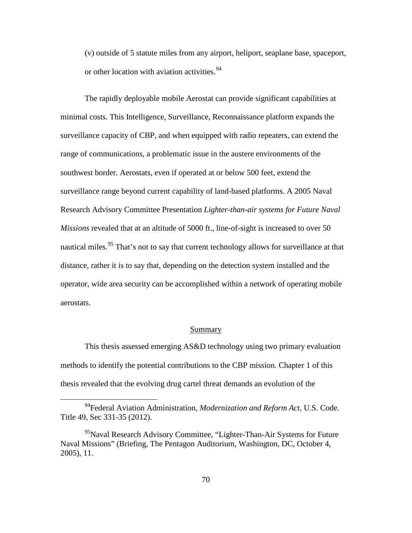(v) outside of 5 statute miles from any airport, heliport, seaplane base, spaceport, or other location with aviation activities.<sup>[94](#page-79-0)</sup>

The rapidly deployable mobile Aerostat can provide significant capabilities at minimal costs. This Intelligence, Surveillance, Reconnaissance platform expands the surveillance capacity of CBP, and when equipped with radio repeaters, can extend the range of communications, a problematic issue in the austere environments of the southwest border. Aerostats, even if operated at or below 500 feet, extend the surveillance range beyond current capability of land-based platforms. A 2005 Naval Research Advisory Committee Presentation *Lighter-than-air systems for Future Naval Missions* revealed that at an altitude of 5000 ft., line-of-sight is increased to over 50 nautical miles.<sup>[95](#page-79-1)</sup> That's not to say that current technology allows for surveillance at that distance, rather it is to say that, depending on the detection system installed and the operator, wide area security can be accomplished within a network of operating mobile aerostats.

# Summary

This thesis assessed emerging AS&D technology using two primary evaluation methods to identify the potential contributions to the CBP mission. Chapter 1 of this thesis revealed that the evolving drug cartel threat demands an evolution of the

<span id="page-79-0"></span> <sup>94</sup>Federal Aviation Administration, *Modernization and Reform Act*, U.S. Code. Title 49, Sec 331-35 (2012).

<span id="page-79-1"></span><sup>&</sup>lt;sup>95</sup>Naval Research Advisory Committee, "Lighter-Than-Air Systems for Future" Naval Missions" (Briefing, The Pentagon Auditorium, Washington, DC, October 4, 2005), 11.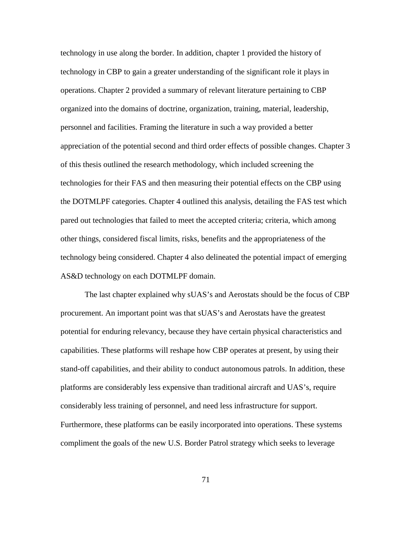technology in use along the border. In addition, chapter 1 provided the history of technology in CBP to gain a greater understanding of the significant role it plays in operations. Chapter 2 provided a summary of relevant literature pertaining to CBP organized into the domains of doctrine, organization, training, material, leadership, personnel and facilities. Framing the literature in such a way provided a better appreciation of the potential second and third order effects of possible changes. Chapter 3 of this thesis outlined the research methodology, which included screening the technologies for their FAS and then measuring their potential effects on the CBP using the DOTMLPF categories. Chapter 4 outlined this analysis, detailing the FAS test which pared out technologies that failed to meet the accepted criteria; criteria, which among other things, considered fiscal limits, risks, benefits and the appropriateness of the technology being considered. Chapter 4 also delineated the potential impact of emerging AS&D technology on each DOTMLPF domain.

The last chapter explained why sUAS's and Aerostats should be the focus of CBP procurement. An important point was that sUAS's and Aerostats have the greatest potential for enduring relevancy, because they have certain physical characteristics and capabilities. These platforms will reshape how CBP operates at present, by using their stand-off capabilities, and their ability to conduct autonomous patrols. In addition, these platforms are considerably less expensive than traditional aircraft and UAS's, require considerably less training of personnel, and need less infrastructure for support. Furthermore, these platforms can be easily incorporated into operations. These systems compliment the goals of the new U.S. Border Patrol strategy which seeks to leverage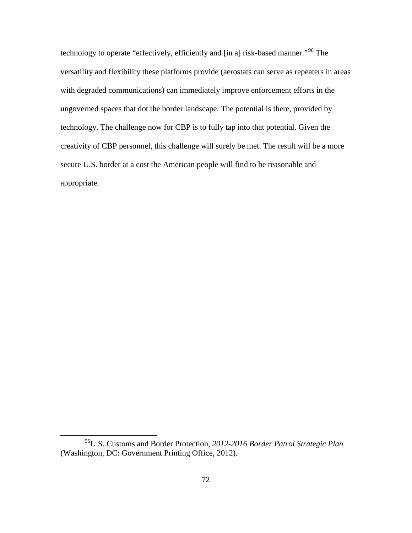technology to operate "effectively, efficiently and [in a] risk-based manner."<sup>[96](#page-81-0)</sup> The versatility and flexibility these platforms provide (aerostats can serve as repeaters in areas with degraded communications) can immediately improve enforcement efforts in the ungoverned spaces that dot the border landscape. The potential is there, provided by technology. The challenge now for CBP is to fully tap into that potential. Given the creativity of CBP personnel, this challenge will surely be met. The result will be a more secure U.S. border at a cost the American people will find to be reasonable and appropriate.

<span id="page-81-0"></span> <sup>96</sup>U.S. Customs and Border Protection, *2012-2016 Border Patrol Strategic Plan* (Washington, DC: Government Printing Office, 2012).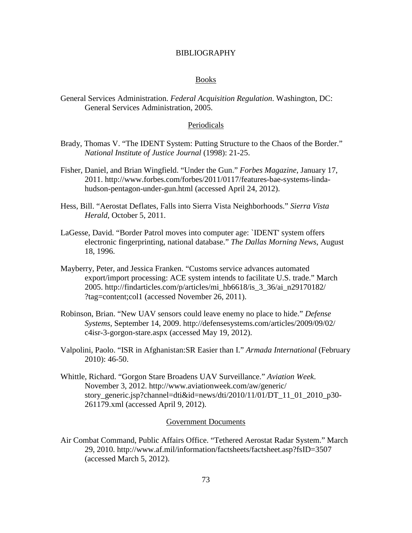### BIBLIOGRAPHY

#### Books

General Services Administration. *Federal Acquisition Regulation*. Washington, DC: General Services Administration, 2005.

#### Periodicals

- Brady, Thomas V. "The IDENT System: Putting Structure to the Chaos of the Border." *National Institute of Justice Journal* (1998): 21-25.
- Fisher, Daniel, and Brian Wingfield. "Under the Gun." *Forbes Magazine*, January 17, 2011. http://www.forbes.com/forbes/2011/0117/features-bae-systems-lindahudson-pentagon-under-gun.html (accessed April 24, 2012).
- Hess, Bill. "Aerostat Deflates, Falls into Sierra Vista Neighborhoods." *Sierra Vista Herald*, October 5, 2011.
- LaGesse, David. "Border Patrol moves into computer age: `IDENT' system offers electronic fingerprinting, national database." *The Dallas Morning News*, August 18, 1996.
- Mayberry, Peter, and Jessica Franken. "Customs service advances automated export/import processing: ACE system intends to facilitate U.S. trade." March 2005. http://findarticles.com/p/articles/mi\_hb6618/is\_3\_36/ai\_n29170182/ ?tag=content;col1 (accessed November 26, 2011).
- Robinson, Brian. "New UAV sensors could leave enemy no place to hide." *Defense Systems,* September 14, 2009. http://defensesystems.com/articles/2009/09/02/ c4isr-3-gorgon-stare.aspx (accessed May 19, 2012).
- Valpolini, Paolo. "ISR in Afghanistan:SR Easier than I." *Armada International* (February 2010): 46-50.
- Whittle, Richard. "Gorgon Stare Broadens UAV Surveillance." *Aviation Week*. November 3, 2012. http://www.aviationweek.com/aw/generic/ story\_generic.jsp?channel=dti&id=news/dti/2010/11/01/DT\_11\_01\_2010\_p30- 261179.xml (accessed April 9, 2012).

# Government Documents

Air Combat Command, Public Affairs Office. "Tethered Aerostat Radar System." March 29, 2010. http://www.af.mil/information/factsheets/factsheet.asp?fsID=3507 (accessed March 5, 2012).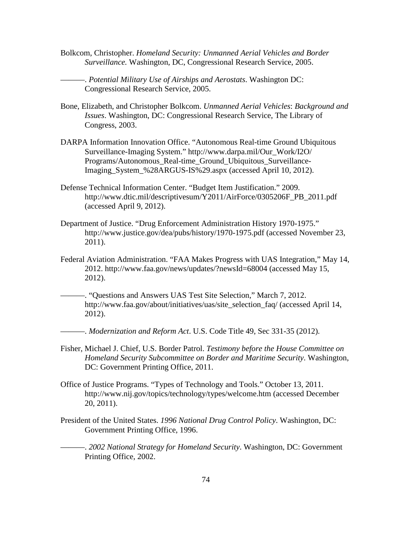Bolkcom, Christopher. *Homeland Security: Unmanned Aerial Vehicles and Border Surveillance.* Washington, DC, Congressional Research Service, 2005.

———. *Potential Military Use of Airships and Aerostats*. Washington DC: Congressional Research Service, 2005.

- Bone, Elizabeth, and Christopher Bolkcom. *Unmanned Aerial Vehicles*: *Background and Issues*. Washington, DC: Congressional Research Service, The Library of Congress, 2003.
- DARPA Information Innovation Office. "Autonomous Real-time Ground Ubiquitous Surveillance-Imaging System." http://www.darpa.mil/Our\_Work/I2O/ Programs/Autonomous\_Real-time\_Ground\_Ubiquitous\_Surveillance-Imaging\_System\_%28ARGUS-IS%29.aspx (accessed April 10, 2012).
- Defense Technical Information Center. "Budget Item Justification." 2009. http://www.dtic.mil/descriptivesum/Y2011/AirForce/0305206F\_PB\_2011.pdf (accessed April 9, 2012).
- Department of Justice. "Drug Enforcement Administration History 1970-1975." http://www.justice.gov/dea/pubs/history/1970-1975.pdf (accessed November 23, 2011).
- Federal Aviation Administration. "FAA Makes Progress with UAS Integration," May 14, 2012. http://www.faa.gov/news/updates/?newsId=68004 (accessed May 15, 2012).
- ———. "Questions and Answers UAS Test Site Selection," March 7, 2012. http://www.faa.gov/about/initiatives/uas/site\_selection\_faq/ (accessed April 14, 2012).
	- ———. *Modernization and Reform Act*. U.S. Code Title 49, Sec 331-35 (2012).
- Fisher, Michael J. Chief, U.S. Border Patrol. *Testimony before the House Committee on Homeland Security Subcommittee on Border and Maritime Security*. Washington, DC: Government Printing Office, 2011.
- Office of Justice Programs. "Types of Technology and Tools." October 13, 2011. http://www.nij.gov/topics/technology/types/welcome.htm (accessed December 20, 2011).
- President of the United States. *1996 National Drug Control Policy*. Washington, DC: Government Printing Office, 1996.

———. *2002 National Strategy for Homeland Security*. Washington, DC: Government Printing Office, 2002.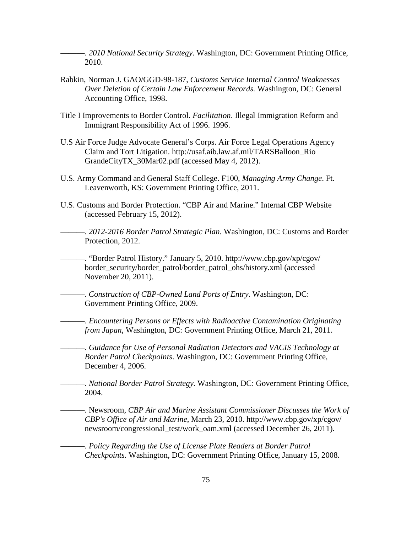———. *2010 National Security Strategy*. Washington, DC: Government Printing Office, 2010.

- Rabkin, Norman J. GAO/GGD-98-187, *Customs Service Internal Control Weaknesses Over Deletion of Certain Law Enforcement Records.* Washington, DC: General Accounting Office, 1998.
- Title I Improvements to Border Control. *Facilitation*. Illegal Immigration Reform and Immigrant Responsibility Act of 1996. 1996.
- U.S Air Force Judge Advocate General's Corps. Air Force Legal Operations Agency Claim and Tort Litigation. http://usaf.aib.law.af.mil/TARSBalloon\_Rio GrandeCityTX\_30Mar02.pdf (accessed May 4, 2012).
- U.S. Army Command and General Staff College. F100, *Managing Army Change*. Ft. Leavenworth, KS: Government Printing Office, 2011.
- U.S. Customs and Border Protection. "CBP Air and Marine." Internal CBP Website (accessed February 15, 2012).

———. *2012-2016 Border Patrol Strategic Plan*. Washington, DC: Customs and Border Protection, 2012.

———. "Border Patrol History." January 5, 2010. http://www.cbp.gov/xp/cgov/ border\_security/border\_patrol/border\_patrol\_ohs/history.xml (accessed November 20, 2011).

———. *Construction of CBP-Owned Land Ports of Entry*. Washington, DC: Government Printing Office, 2009.

———. *Encountering Persons or Effects with Radioactive Contamination Originating from Japan*, Washington, DC: Government Printing Office, March 21, 2011.

———. *Guidance for Use of Personal Radiation Detectors and VACIS Technology at Border Patrol Checkpoints*. Washington, DC: Government Printing Office, December 4, 2006.

———. *National Border Patrol Strategy.* Washington, DC: Government Printing Office, 2004.

———. Newsroom, *CBP Air and Marine Assistant Commissioner Discusses the Work of CBP's Office of Air and Marine*, March 23, 2010. http://www.cbp.gov/xp/cgov/ newsroom/congressional\_test/work\_oam.xml (accessed December 26, 2011).

———. *Policy Regarding the Use of License Plate Readers at Border Patrol Checkpoints.* Washington, DC: Government Printing Office, January 15, 2008.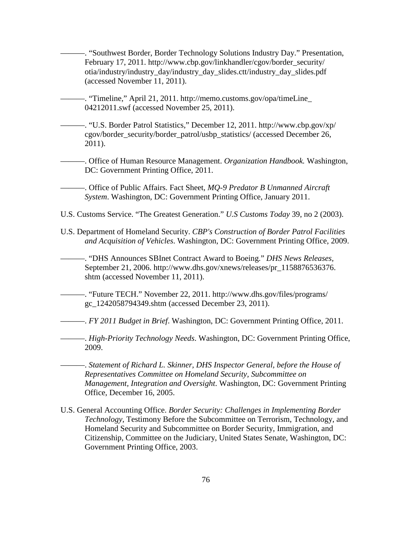———. "Southwest Border, Border Technology Solutions Industry Day." Presentation, February 17, 2011. http://www.cbp.gov/linkhandler/cgov/border\_security/ otia/industry/industry\_day/industry\_day\_slides.ctt/industry\_day\_slides.pdf (accessed November 11, 2011).

- ———. "Timeline," April 21, 2011. http://memo.customs.gov/opa/timeLine\_ 04212011.swf (accessed November 25, 2011).
- ———. "U.S. Border Patrol Statistics," December 12, 2011. http://www.cbp.gov/xp/ cgov/border\_security/border\_patrol/usbp\_statistics/ (accessed December 26, 2011).

———. Office of Human Resource Management. *Organization Handbook.* Washington, DC: Government Printing Office, 2011.

———. Office of Public Affairs. Fact Sheet, *MQ-9 Predator B Unmanned Aircraft System*. Washington, DC: Government Printing Office, January 2011.

- U.S. Customs Service. "The Greatest Generation." *U.S Customs Today* 39, no 2 (2003).
- U.S. Department of Homeland Security. *CBP's Construction of Border Patrol Facilities and Acquisition of Vehicles*. Washington, DC: Government Printing Office, 2009.
	- ———. "DHS Announces SBInet Contract Award to Boeing." *DHS News Releases,*  September 21, 2006. http://www.dhs.gov/xnews/releases/pr\_1158876536376. shtm (accessed November 11, 2011).
- ———. "Future TECH." November 22, 2011. http://www.dhs.gov/files/programs/ gc\_1242058794349.shtm (accessed December 23, 2011).

———. *FY 2011 Budget in Brief*. Washington, DC: Government Printing Office, 2011.

———. *High-Priority Technology Needs*. Washington, DC: Government Printing Office, 2009.

———. *Statement of Richard L. Skinner, DHS Inspector General, before the House of Representatives Committee on Homeland Security, Subcommittee on Management, Integration and Oversight*. Washington, DC: Government Printing Office, December 16, 2005.

U.S. General Accounting Office. *Border Security: Challenges in Implementing Border Technology*, Testimony Before the Subcommittee on Terrorism, Technology, and Homeland Security and Subcommittee on Border Security, Immigration, and Citizenship, Committee on the Judiciary, United States Senate, Washington, DC: Government Printing Office, 2003.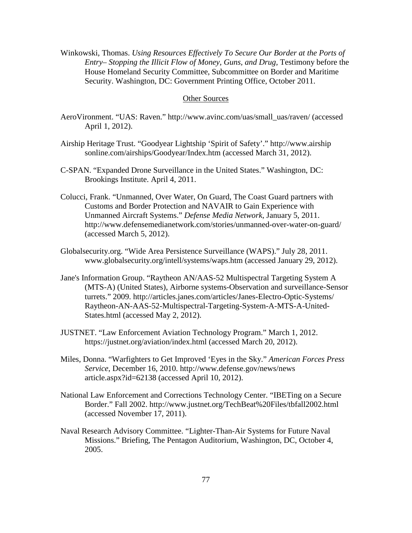Winkowski, Thomas. *Using Resources Effectively To Secure Our Border at the Ports of Entry– Stopping the Illicit Flow of Money, Guns, and Drug,* Testimony before the House Homeland Security Committee, Subcommittee on Border and Maritime Security. Washington, DC: Government Printing Office, October 2011.

# Other Sources

- AeroVironment. "UAS: Raven." http://www.avinc.com/uas/small\_uas/raven/ (accessed April 1, 2012).
- Airship Heritage Trust. "Goodyear Lightship 'Spirit of Safety'." http://www.airship sonline.com/airships/Goodyear/Index.htm (accessed March 31, 2012).
- C-SPAN. "Expanded Drone Surveillance in the United States." Washington, DC: Brookings Institute. April 4, 2011.
- Colucci, Frank. "Unmanned, Over Water, On Guard, The Coast Guard partners with Customs and Border Protection and NAVAIR to Gain Experience with Unmanned Aircraft Systems." *Defense Media Network*, January 5, 2011. http://www.defensemedianetwork.com/stories/unmanned-over-water-on-guard/ (accessed March 5, 2012).
- Globalsecurity.org. "Wide Area Persistence Surveillance (WAPS)." July 28, 2011. www.globalsecurity.org/intell/systems/waps.htm (accessed January 29, 2012).
- Jane's Information Group. "Raytheon AN/AAS-52 Multispectral Targeting System A (MTS-A) (United States), Airborne systems-Observation and surveillance-Sensor turrets." 2009. http://articles.janes.com/articles/Janes-Electro-Optic-Systems/ Raytheon-AN-AAS-52-Multispectral-Targeting-System-A-MTS-A-United-States.html (accessed May 2, 2012).
- JUSTNET. "Law Enforcement Aviation Technology Program." March 1, 2012. https://justnet.org/aviation/index.html (accessed March 20, 2012).
- Miles, Donna. "Warfighters to Get Improved 'Eyes in the Sky." *American Forces Press Service*, December 16, 2010. http://www.defense.gov/news/news article.aspx?id=62138 (accessed April 10, 2012).
- National Law Enforcement and Corrections Technology Center. "IBETing on a Secure Border." Fall 2002. http://www.justnet.org/TechBeat%20Files/tbfall2002.html (accessed November 17, 2011).
- Naval Research Advisory Committee. "Lighter-Than-Air Systems for Future Naval Missions." Briefing, The Pentagon Auditorium, Washington, DC, October 4, 2005.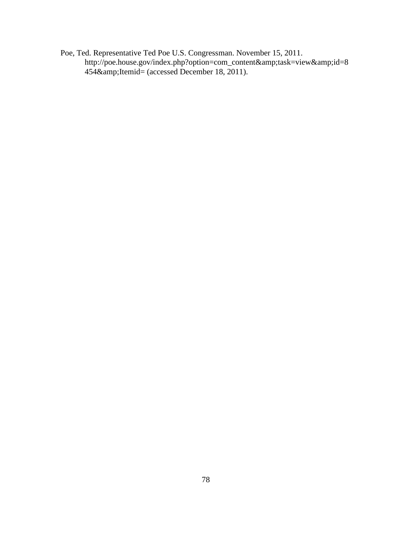Poe, Ted. Representative Ted Poe U.S. Congressman. November 15, 2011. http://poe.house.gov/index.php?option=com\_content&task=view&id=8 454&Itemid= (accessed December 18, 2011).